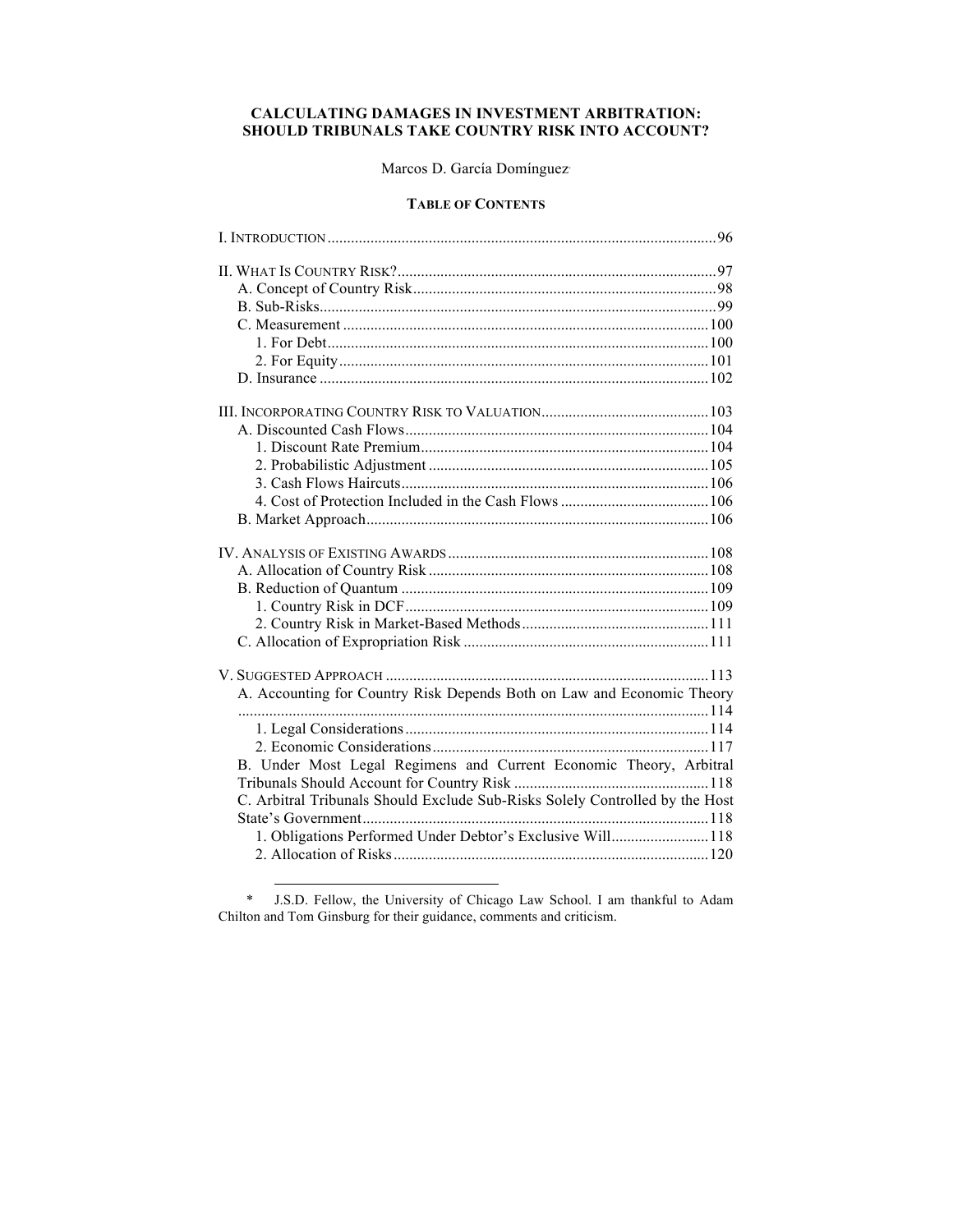# **CALCULATING DAMAGES IN INVESTMENT ARBITRATION: SHOULD TRIBUNALS TAKE COUNTRY RISK INTO ACCOUNT?**

# Marcos D. García Domínguez<sup>∗</sup>

## **TABLE OF CONTENTS**

| A. Accounting for Country Risk Depends Both on Law and Economic Theory       |  |
|------------------------------------------------------------------------------|--|
|                                                                              |  |
|                                                                              |  |
|                                                                              |  |
| B. Under Most Legal Regimens and Current Economic Theory, Arbitral           |  |
|                                                                              |  |
| C. Arbitral Tribunals Should Exclude Sub-Risks Solely Controlled by the Host |  |
|                                                                              |  |
| 1. Obligations Performed Under Debtor's Exclusive Will118                    |  |
|                                                                              |  |

\* J.S.D. Fellow, the University of Chicago Law School. I am thankful to Adam Chilton and Tom Ginsburg for their guidance, comments and criticism.

 $\overline{a}$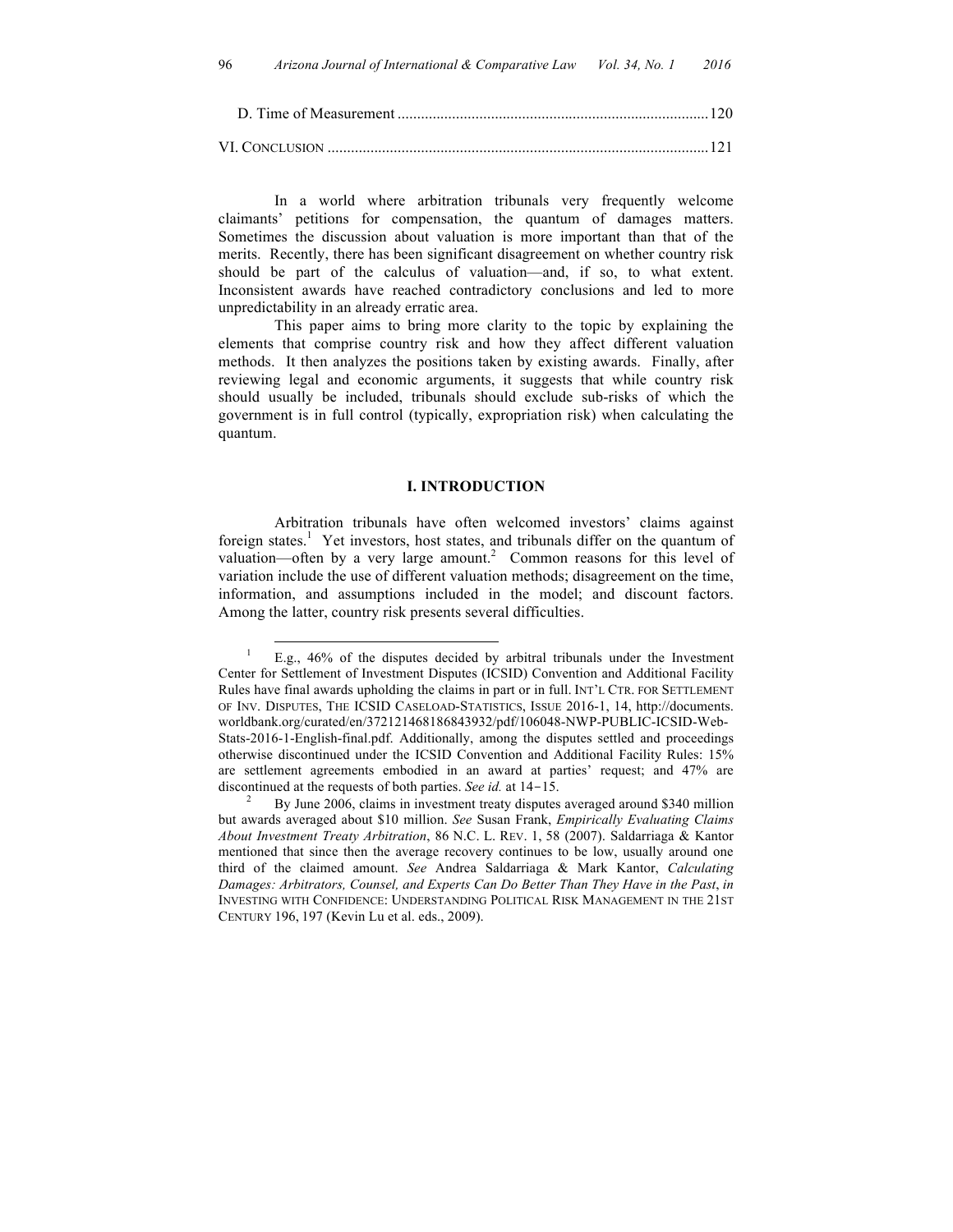VI. CONCLUSION ..................................................................................................121

In a world where arbitration tribunals very frequently welcome claimants' petitions for compensation, the quantum of damages matters. Sometimes the discussion about valuation is more important than that of the merits. Recently, there has been significant disagreement on whether country risk should be part of the calculus of valuation—and, if so, to what extent. Inconsistent awards have reached contradictory conclusions and led to more unpredictability in an already erratic area.

This paper aims to bring more clarity to the topic by explaining the elements that comprise country risk and how they affect different valuation methods. It then analyzes the positions taken by existing awards. Finally, after reviewing legal and economic arguments, it suggests that while country risk should usually be included, tribunals should exclude sub-risks of which the government is in full control (typically, expropriation risk) when calculating the quantum.

## **I. INTRODUCTION**

Arbitration tribunals have often welcomed investors' claims against foreign states.<sup>1</sup> Yet investors, host states, and tribunals differ on the quantum of valuation—often by a very large amount.<sup>2</sup> Common reasons for this level of variation include the use of different valuation methods; disagreement on the time, information, and assumptions included in the model; and discount factors. Among the latter, country risk presents several difficulties.

 <sup>1</sup> E.g., 46% of the disputes decided by arbitral tribunals under the Investment Center for Settlement of Investment Disputes (ICSID) Convention and Additional Facility Rules have final awards upholding the claims in part or in full. INT'L CTR. FOR SETTLEMENT OF INV. DISPUTES, THE ICSID CASELOAD-STATISTICS, ISSUE 2016-1, 14, http://documents. worldbank.org/curated/en/372121468186843932/pdf/106048-NWP-PUBLIC-ICSID-Web-Stats-2016-1-English-final.pdf. Additionally, among the disputes settled and proceedings otherwise discontinued under the ICSID Convention and Additional Facility Rules: 15% are settlement agreements embodied in an award at parties' request; and 47% are discontinued at the requests of both parties. *See id.* at 14-15.<br><sup>2</sup> By June 2006, claims in investment treaty disputes averaged around \$340 million

but awards averaged about \$10 million. *See* Susan Frank, *Empirically Evaluating Claims About Investment Treaty Arbitration*, 86 N.C. L. REV. 1, 58 (2007). Saldarriaga & Kantor mentioned that since then the average recovery continues to be low, usually around one third of the claimed amount. *See* Andrea Saldarriaga & Mark Kantor, *Calculating Damages: Arbitrators, Counsel, and Experts Can Do Better Than They Have in the Past*, *in* INVESTING WITH CONFIDENCE: UNDERSTANDING POLITICAL RISK MANAGEMENT IN THE 21ST CENTURY 196, 197 (Kevin Lu et al. eds., 2009).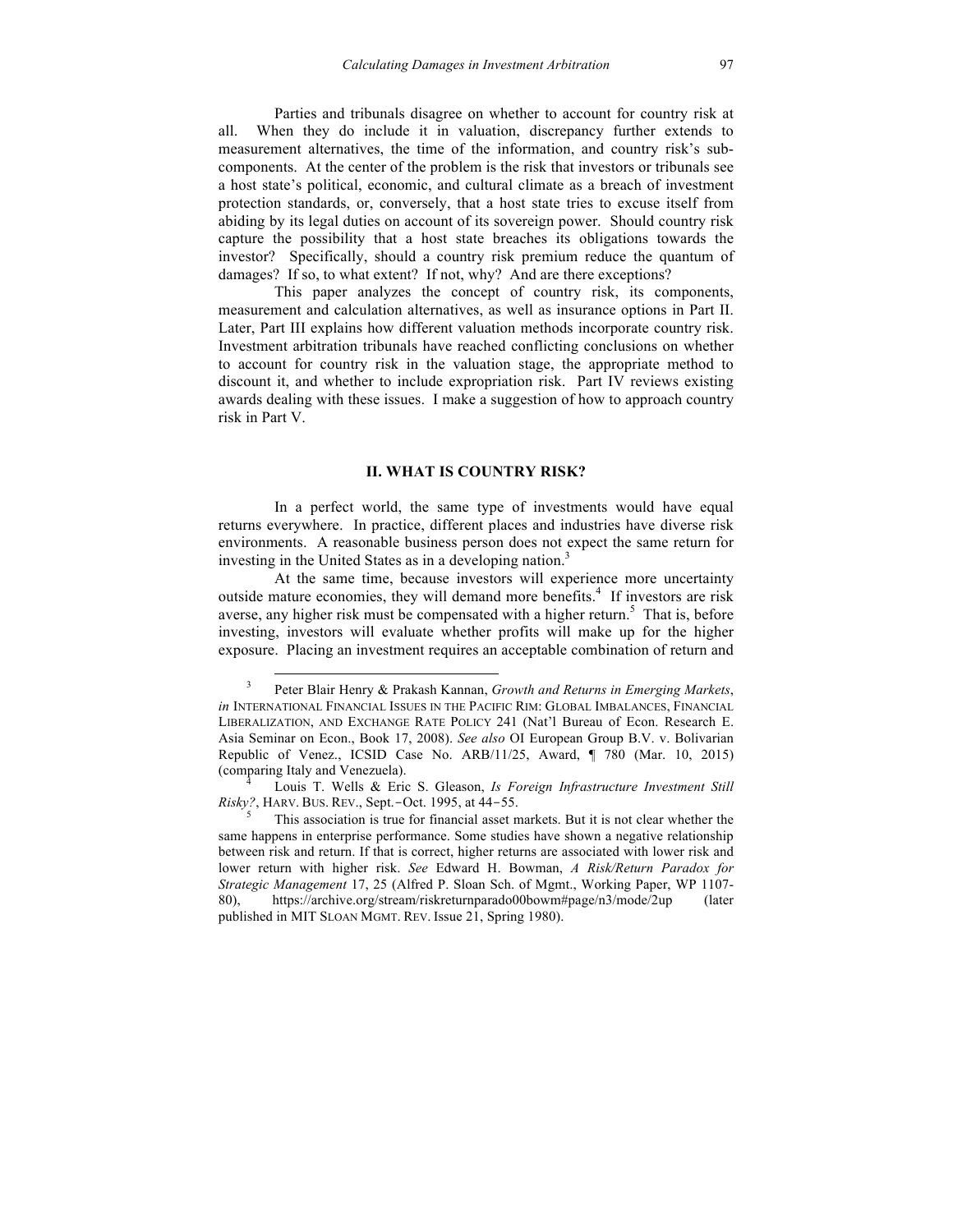Parties and tribunals disagree on whether to account for country risk at all. When they do include it in valuation, discrepancy further extends to measurement alternatives, the time of the information, and country risk's subcomponents. At the center of the problem is the risk that investors or tribunals see a host state's political, economic, and cultural climate as a breach of investment protection standards, or, conversely, that a host state tries to excuse itself from abiding by its legal duties on account of its sovereign power. Should country risk capture the possibility that a host state breaches its obligations towards the investor? Specifically, should a country risk premium reduce the quantum of damages? If so, to what extent? If not, why? And are there exceptions?

This paper analyzes the concept of country risk, its components, measurement and calculation alternatives, as well as insurance options in Part II. Later, Part III explains how different valuation methods incorporate country risk. Investment arbitration tribunals have reached conflicting conclusions on whether to account for country risk in the valuation stage, the appropriate method to discount it, and whether to include expropriation risk. Part IV reviews existing awards dealing with these issues. I make a suggestion of how to approach country risk in Part V.

## **II. WHAT IS COUNTRY RISK?**

In a perfect world, the same type of investments would have equal returns everywhere. In practice, different places and industries have diverse risk environments. A reasonable business person does not expect the same return for investing in the United States as in a developing nation.<sup>3</sup>

At the same time, because investors will experience more uncertainty outside mature economies, they will demand more benefits. 4 If investors are risk averse, any higher risk must be compensated with a higher return.<sup>5</sup> That is, before investing, investors will evaluate whether profits will make up for the higher exposure. Placing an investment requires an acceptable combination of return and

 <sup>3</sup> Peter Blair Henry & Prakash Kannan, *Growth and Returns in Emerging Markets*, *in* INTERNATIONAL FINANCIAL ISSUES IN THE PACIFIC RIM: GLOBAL IMBALANCES, FINANCIAL LIBERALIZATION, AND EXCHANGE RATE POLICY 241 (Nat'l Bureau of Econ. Research E. Asia Seminar on Econ., Book 17, 2008). *See also* OI European Group B.V. v. Bolivarian Republic of Venez., ICSID Case No. ARB/11/25, Award, ¶ 780 (Mar. 10, 2015) (comparing Italy and Venezuela). <sup>4</sup> Louis T. Wells & Eric S. Gleason, *Is Foreign Infrastructure Investment Still* 

*Risky?*, HARV. BUS. REV., Sept.-Oct. 1995, at 44-55.<br><sup>5</sup> This association is true for financial asset markets. But it is not clear whether the

same happens in enterprise performance. Some studies have shown a negative relationship between risk and return. If that is correct, higher returns are associated with lower risk and lower return with higher risk. *See* Edward H. Bowman, *A Risk/Return Paradox for Strategic Management* 17, 25 (Alfred P. Sloan Sch. of Mgmt., Working Paper, WP 1107- 80), https://archive.org/stream/riskreturnparado00bowm#page/n3/mode/2up (later published in MIT SLOAN MGMT. REV. Issue 21, Spring 1980).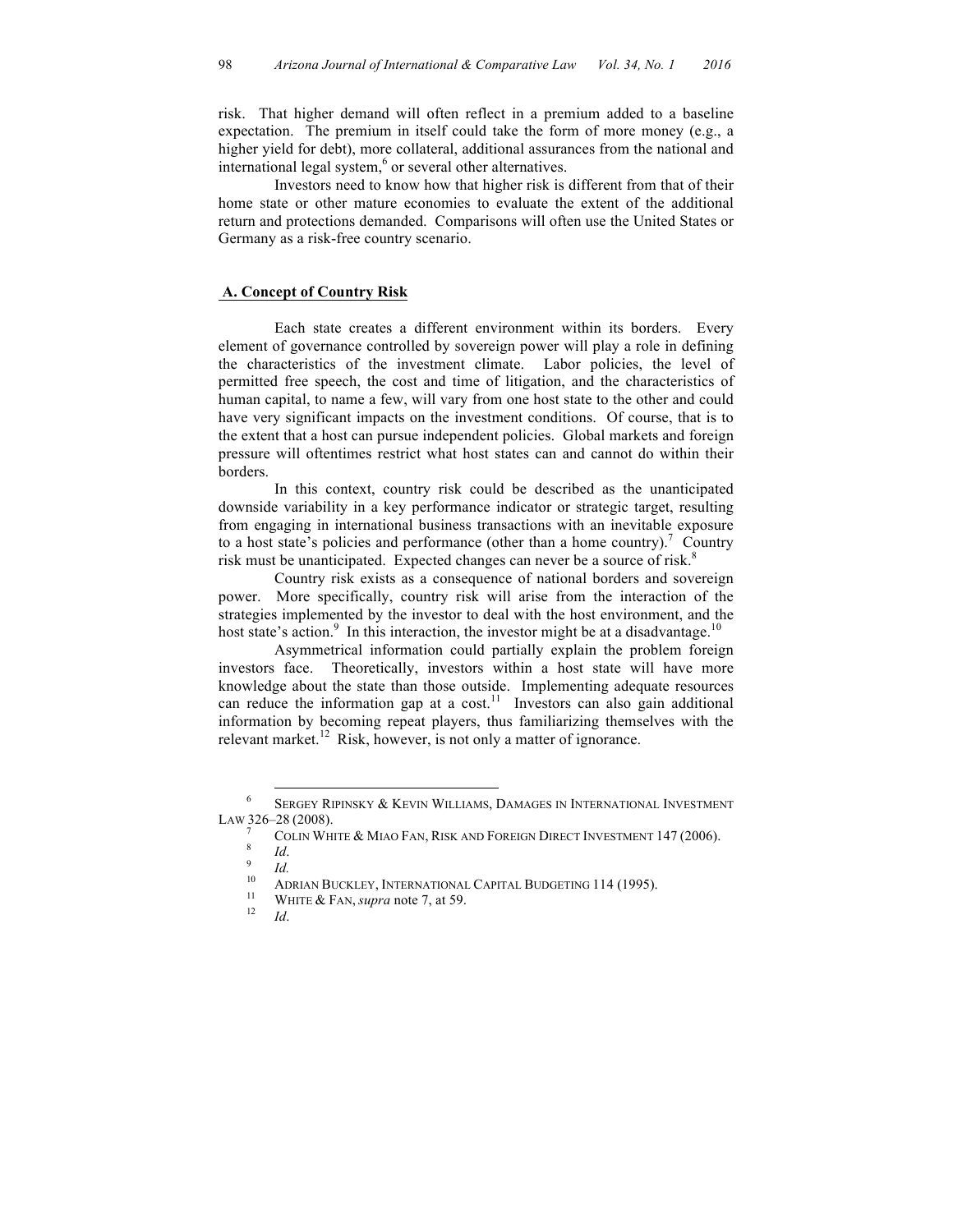risk. That higher demand will often reflect in a premium added to a baseline expectation. The premium in itself could take the form of more money (e.g., a higher yield for debt), more collateral, additional assurances from the national and international legal system,<sup>6</sup> or several other alternatives.

Investors need to know how that higher risk is different from that of their home state or other mature economies to evaluate the extent of the additional return and protections demanded. Comparisons will often use the United States or Germany as a risk-free country scenario.

## **A. Concept of Country Risk**

Each state creates a different environment within its borders. Every element of governance controlled by sovereign power will play a role in defining the characteristics of the investment climate. Labor policies, the level of permitted free speech, the cost and time of litigation, and the characteristics of human capital, to name a few, will vary from one host state to the other and could have very significant impacts on the investment conditions. Of course, that is to the extent that a host can pursue independent policies. Global markets and foreign pressure will oftentimes restrict what host states can and cannot do within their borders.

In this context, country risk could be described as the unanticipated downside variability in a key performance indicator or strategic target, resulting from engaging in international business transactions with an inevitable exposure to a host state's policies and performance (other than a home country).<sup>7</sup> Country risk must be unanticipated. Expected changes can never be a source of risk.<sup>8</sup>

Country risk exists as a consequence of national borders and sovereign power. More specifically, country risk will arise from the interaction of the strategies implemented by the investor to deal with the host environment, and the host state's action.<sup>9</sup> In this interaction, the investor might be at a disadvantage.<sup>10</sup>

Asymmetrical information could partially explain the problem foreign investors face. Theoretically, investors within a host state will have more knowledge about the state than those outside. Implementing adequate resources can reduce the information gap at a cost.<sup>11</sup> Investors can also gain additional information by becoming repeat players, thus familiarizing themselves with the relevant market.<sup>12</sup> Risk, however, is not only a matter of ignorance.

- 
- 

 <sup>6</sup> SERGEY RIPINSKY & KEVIN WILLIAMS, DAMAGES IN INTERNATIONAL INVESTMENT LAW 326-28 (2008).

COLIN WHITE & MIAO FAN, RISK AND FOREIGN DIRECT INVESTMENT 147 (2006).<br>
<sup>9</sup> *Id.*<br>
<sup>10</sup> ADRIAN BUCKLEY, INTERNATIONAL CAPITAL BUDGETING 114 (1995).<br>
<sup>11</sup> WHITE & FAN, *supra* note 7, at 59.<br>
<sup>12</sup> *Id.*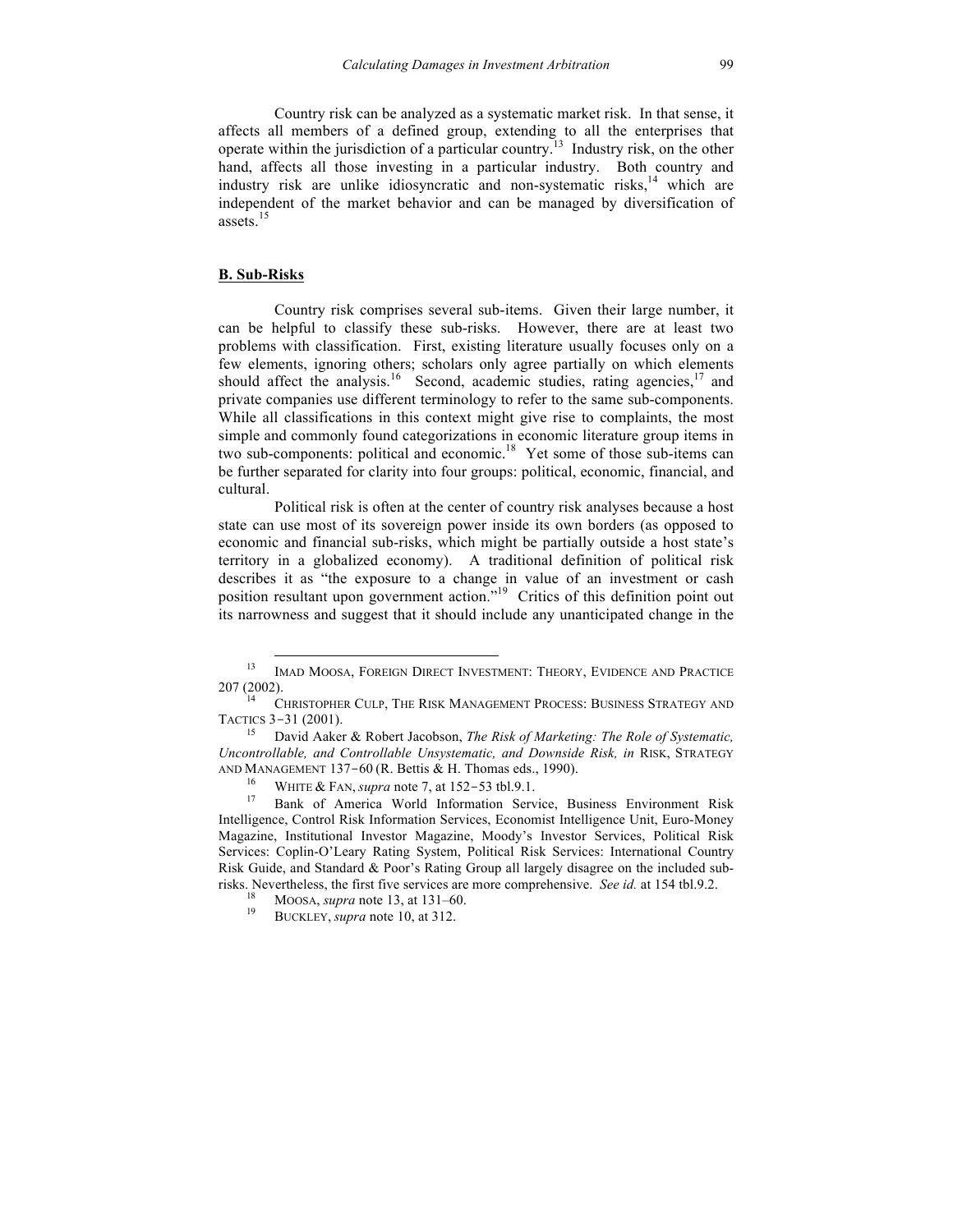Country risk can be analyzed as a systematic market risk. In that sense, it affects all members of a defined group, extending to all the enterprises that operate within the jurisdiction of a particular country.<sup>13</sup> Industry risk, on the other hand, affects all those investing in a particular industry. Both country and industry risk are unlike idiosyncratic and non-systematic risks, $14$  which are independent of the market behavior and can be managed by diversification of assets. 15

### **B. Sub-Risks**

Country risk comprises several sub-items. Given their large number, it can be helpful to classify these sub-risks. However, there are at least two problems with classification. First, existing literature usually focuses only on a few elements, ignoring others; scholars only agree partially on which elements should affect the analysis.<sup>16</sup> Second, academic studies, rating agencies,<sup>17</sup> and private companies use different terminology to refer to the same sub-components. While all classifications in this context might give rise to complaints, the most simple and commonly found categorizations in economic literature group items in two sub-components: political and economic. 18 Yet some of those sub-items can be further separated for clarity into four groups: political, economic, financial, and cultural.

Political risk is often at the center of country risk analyses because a host state can use most of its sovereign power inside its own borders (as opposed to economic and financial sub-risks, which might be partially outside a host state's territory in a globalized economy). A traditional definition of political risk describes it as "the exposure to a change in value of an investment or cash position resultant upon government action." <sup>19</sup> Critics of this definition point out its narrowness and suggest that it should include any unanticipated change in the

<sup>&</sup>lt;sup>13</sup> IMAD MOOSA, FOREIGN DIRECT INVESTMENT: THEORY, EVIDENCE AND PRACTICE  $207(2002)$ .

CHRISTOPHER CULP, THE RISK MANAGEMENT PROCESS: BUSINESS STRATEGY AND TACTICS <sup>3</sup>-31 (2001). <sup>15</sup> David Aaker & Robert Jacobson, *The Risk of Marketing: The Role of Systematic,* 

*Uncontrollable, and Controllable Unsystematic, and Downside Risk, in* RISK, STRATEGY AND MANAGEMENT 137-60 (R. Bettis & H. Thomas eds., 1990).

<sup>&</sup>lt;sup>16</sup> WHITE & FAN, *supra* note 7, at 152–53 tbl.9.1.<br><sup>17</sup> Bank of America World Information Service, Business Environment Risk Intelligence, Control Risk Information Services, Economist Intelligence Unit, Euro-Money Magazine, Institutional Investor Magazine, Moody's Investor Services, Political Risk Services: Coplin-O'Leary Rating System, Political Risk Services: International Country Risk Guide, and Standard & Poor's Rating Group all largely disagree on the included subrisks. Nevertheless, the first five services are more comprehensive. *See id.* at 154 tbl.9.2. <sup>18</sup> MOOSA, *supra* note 13, at 131–60. <sup>19</sup> BUCKLEY, *supra* note 10, at 312.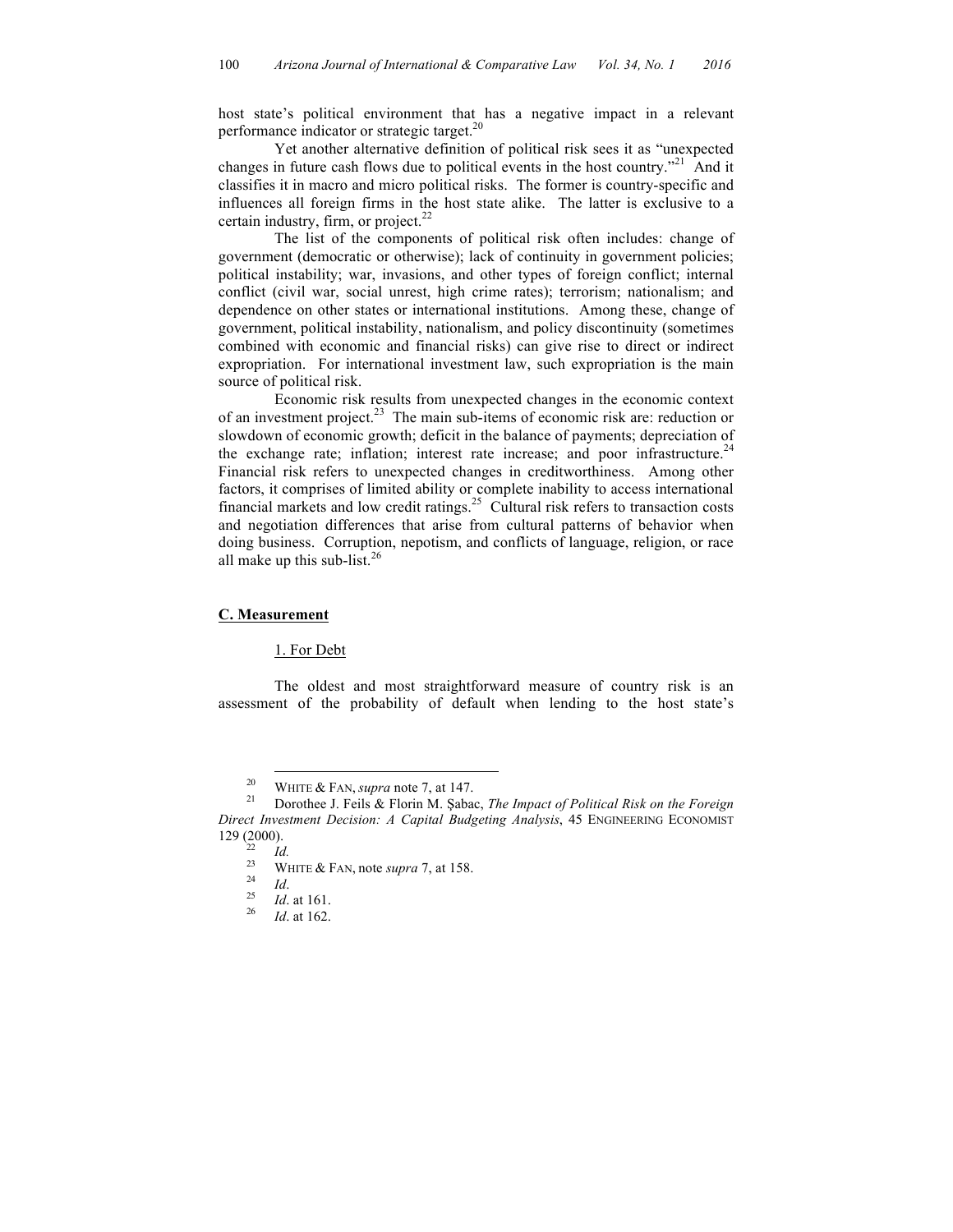host state's political environment that has a negative impact in a relevant performance indicator or strategic target.20

Yet another alternative definition of political risk sees it as "unexpected changes in future cash flows due to political events in the host country."<sup>21</sup> And it classifies it in macro and micro political risks. The former is country-specific and influences all foreign firms in the host state alike. The latter is exclusive to a certain industry, firm, or project.<sup>22</sup>

The list of the components of political risk often includes: change of government (democratic or otherwise); lack of continuity in government policies; political instability; war, invasions, and other types of foreign conflict; internal conflict (civil war, social unrest, high crime rates); terrorism; nationalism; and dependence on other states or international institutions. Among these, change of government, political instability, nationalism, and policy discontinuity (sometimes combined with economic and financial risks) can give rise to direct or indirect expropriation. For international investment law, such expropriation is the main source of political risk.

Economic risk results from unexpected changes in the economic context of an investment project.<sup>23</sup> The main sub-items of economic risk are: reduction or slowdown of economic growth; deficit in the balance of payments; depreciation of the exchange rate; inflation; interest rate increase; and poor infrastructure.<sup>24</sup> Financial risk refers to unexpected changes in creditworthiness. Among other factors, it comprises of limited ability or complete inability to access international financial markets and low credit ratings. 25 Cultural risk refers to transaction costs and negotiation differences that arise from cultural patterns of behavior when doing business. Corruption, nepotism, and conflicts of language, religion, or race all make up this sub-list.<sup>26</sup>

## **C. Measurement**

1. For Debt

The oldest and most straightforward measure of country risk is an assessment of the probability of default when lending to the host state's

<sup>&</sup>lt;sup>20</sup> WHITE & FAN, *supra* note 7, at 147.<br><sup>21</sup> Dorothee J. Feils & Florin M. Şabac, *The Impact of Political Risk on the Foreign Direct Investment Decision: A Capital Budgeting Analysis*, 45 ENGINEERING ECONOMIST 129 (2000).

<sup>22</sup> *Id.* <sup>23</sup> WHITE & FAN, note *supra* 7, at 158. <sup>24</sup> *Id*. 25 *Id*. at 161. 26 *Id*. at 162.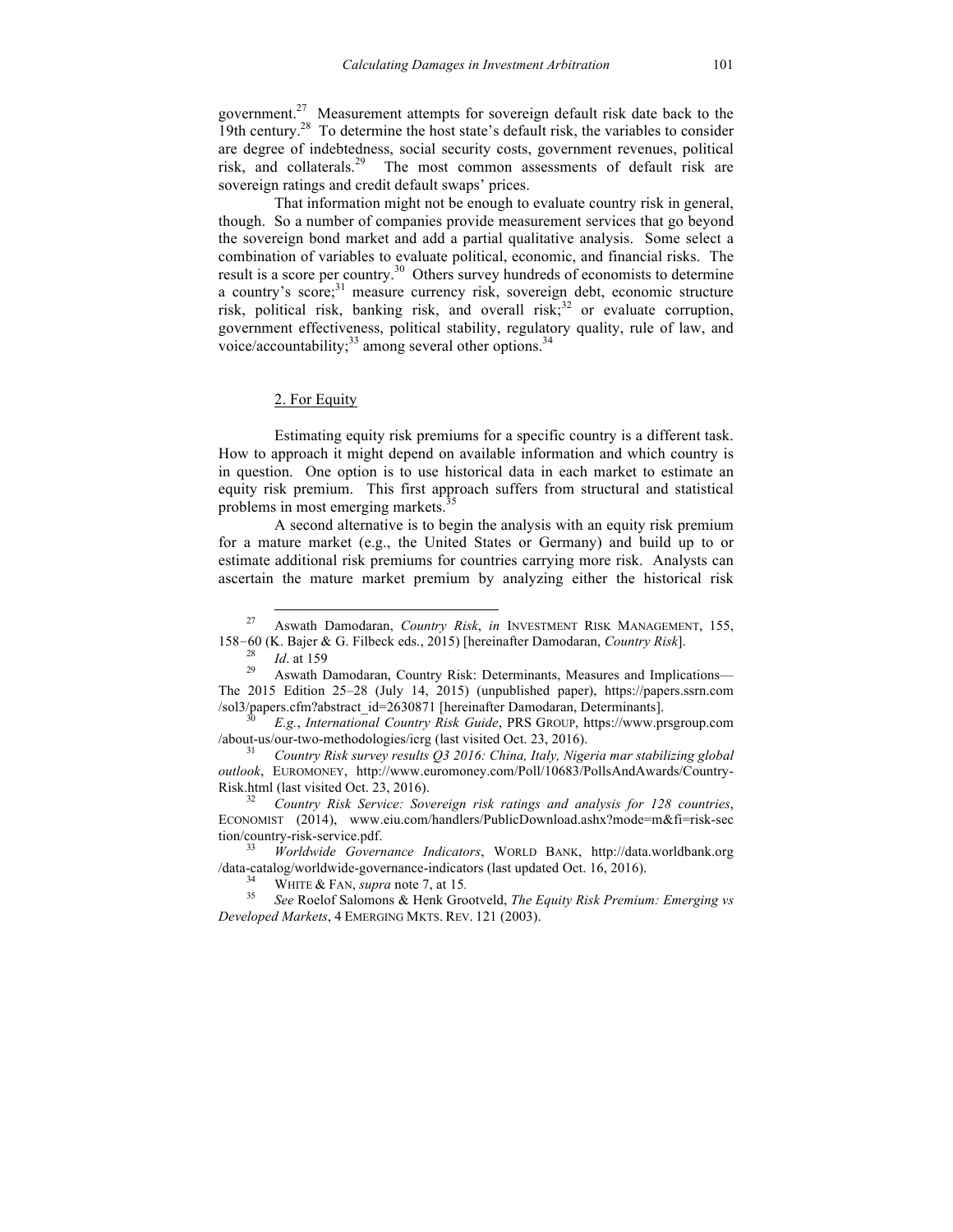government.<sup>27</sup> Measurement attempts for sovereign default risk date back to the 19th century.<sup>28</sup> To determine the host state's default risk, the variables to consider are degree of indebtedness, social security costs, government revenues, political risk, and collaterals.<sup>29</sup> The most common assessments of default risk are sovereign ratings and credit default swaps' prices.

That information might not be enough to evaluate country risk in general, though. So a number of companies provide measurement services that go beyond the sovereign bond market and add a partial qualitative analysis. Some select a combination of variables to evaluate political, economic, and financial risks. The result is a score per country.<sup>30</sup> Others survey hundreds of economists to determine a country's score;<sup>31</sup> measure currency risk, sovereign debt, economic structure risk, political risk, banking risk, and overall risk; <sup>32</sup> or evaluate corruption, government effectiveness, political stability, regulatory quality, rule of law, and voice/accountability; $^{33}$  among several other options.<sup>34</sup>

## 2. For Equity

Estimating equity risk premiums for a specific country is a different task. How to approach it might depend on available information and which country is in question. One option is to use historical data in each market to estimate an equity risk premium. This first approach suffers from structural and statistical problems in most emerging markets.<sup>3</sup>

A second alternative is to begin the analysis with an equity risk premium for a mature market (e.g., the United States or Germany) and build up to or estimate additional risk premiums for countries carrying more risk. Analysts can ascertain the mature market premium by analyzing either the historical risk

ECONOMIST (2014), www.eiu.com/handlers/PublicDownload.ashx?mode=m&fi=risk-sec tion/country-risk-service.pdf. <sup>33</sup> *Worldwide Governance Indicators*, WORLD BANK, http://data.worldbank.org

/data-catalog/worldwide-governance-indicators (last updated Oct. 16, 2016). <sup>34</sup> WHITE & FAN, *supra* note 7, at 15*.* <sup>35</sup> *See* Roelof Salomons & Henk Grootveld, *The Equity Risk Premium: Emerging vs* 

 <sup>27</sup> Aswath Damodaran, *Country Risk*, *in* INVESTMENT RISK MANAGEMENT, 155, 158–60 (K. Bajer & G. Filbeck eds., 2015) [hereinafter Damodaran, *Country Risk*].<br><sup>28</sup> *Id.* at 159 <br><sup>29</sup> Aswath Damodaran, Country Risk: Determinants, Measures and Implications—

The 2015 Edition 25–28 (July 14, 2015) (unpublished paper), https://papers.ssrn.com /sol3/papers.cfm?abstract\_id=2630871 [hereinafter Damodaran, Determinants]. <sup>30</sup> *E.g.*, *International Country Risk Guide*, PRS GROUP, https://www.prsgroup.com

<sup>/</sup>about-us/our-two-methodologies/icrg (last visited Oct. 23, 2016). <sup>31</sup> *Country Risk survey results Q3 2016: China, Italy, Nigeria mar stabilizing global* 

*outlook*, EUROMONEY, http://www.euromoney.com/Poll/10683/PollsAndAwards/Country-Risk.html (last visited Oct. 23, 2016). 32 *Country Risk Service: Sovereign risk ratings and analysis for 128 countries*,

*Developed Markets*, 4 EMERGING MKTS. REV. 121 (2003).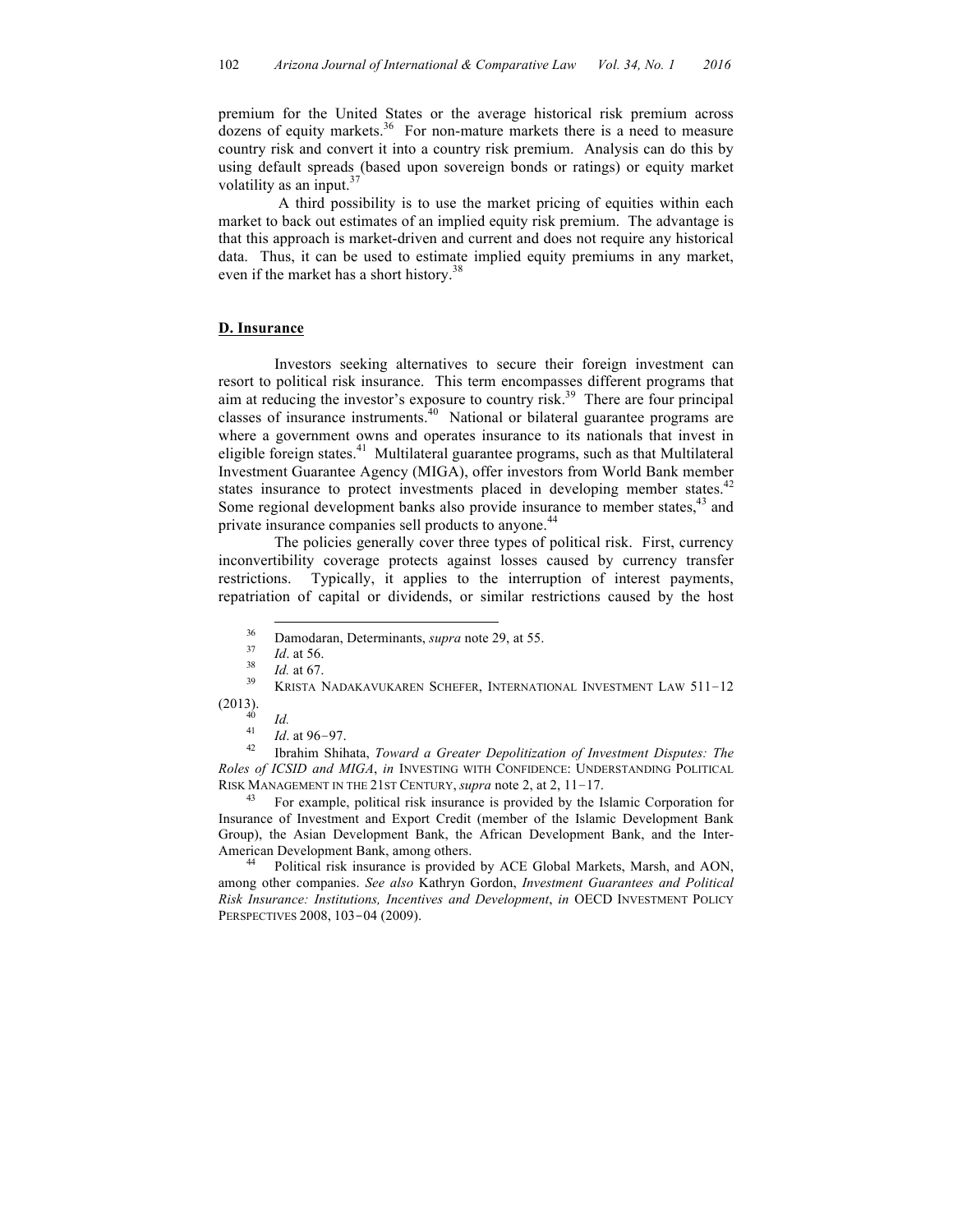premium for the United States or the average historical risk premium across  $d$ ozens of equity markets.<sup>36</sup> For non-mature markets there is a need to measure country risk and convert it into a country risk premium. Analysis can do this by using default spreads (based upon sovereign bonds or ratings) or equity market volatility as an input.<sup>37</sup>

A third possibility is to use the market pricing of equities within each market to back out estimates of an implied equity risk premium. The advantage is that this approach is market-driven and current and does not require any historical data. Thus, it can be used to estimate implied equity premiums in any market, even if the market has a short history.<sup>38</sup>

#### **D. Insurance**

Investors seeking alternatives to secure their foreign investment can resort to political risk insurance. This term encompasses different programs that aim at reducing the investor's exposure to country risk. 39 There are four principal classes of insurance instruments. 40 National or bilateral guarantee programs are where a government owns and operates insurance to its nationals that invest in eligible foreign states.<sup>41</sup> Multilateral guarantee programs, such as that Multilateral Investment Guarantee Agency (MIGA), offer investors from World Bank member states insurance to protect investments placed in developing member states.<sup>42</sup> Some regional development banks also provide insurance to member states,<sup>43</sup> and private insurance companies sell products to anyone.<sup>44</sup>

The policies generally cover three types of political risk. First, currency inconvertibility coverage protects against losses caused by currency transfer restrictions. Typically, it applies to the interruption of interest payments, repatriation of capital or dividends, or similar restrictions caused by the host

(2013). <sup>40</sup> *Id.* <sup>41</sup> *Id*. at 96–97. <sup>42</sup> Ibrahim Shihata, *Toward a Greater Depolitization of Investment Disputes: The Roles of ICSID and MIGA*, *in* INVESTING WITH CONFIDENCE: UNDERSTANDING POLITICAL RISK MANAGEMENT IN THE 21ST CENTURY, *supra* note 2, at 2, 11–17.<br><sup>43</sup> For example, political risk insurance is provided by the Islamic Corporation for

Insurance of Investment and Export Credit (member of the Islamic Development Bank Group), the Asian Development Bank, the African Development Bank, and the Inter-American Development Bank, among others.<br><sup>44</sup> Political risk insurance is provided by ACE Global Markets, Marsh, and AON,

among other companies. *See also* Kathryn Gordon, *Investment Guarantees and Political Risk Insurance: Institutions, Incentives and Development*, *in* OECD INVESTMENT POLICY PERSPECTIVES 2008, 103-04 (2009).

<sup>&</sup>lt;sup>36</sup> Damodaran, Determinants, *supra* note 29, at 55.<br> *Id.* at 56.<br> *Id.* at 67.<br> **KRISTA NADAKAVUKAREN SCHEFER, INTERNATIONAL INVESTMENT LAW 511–12**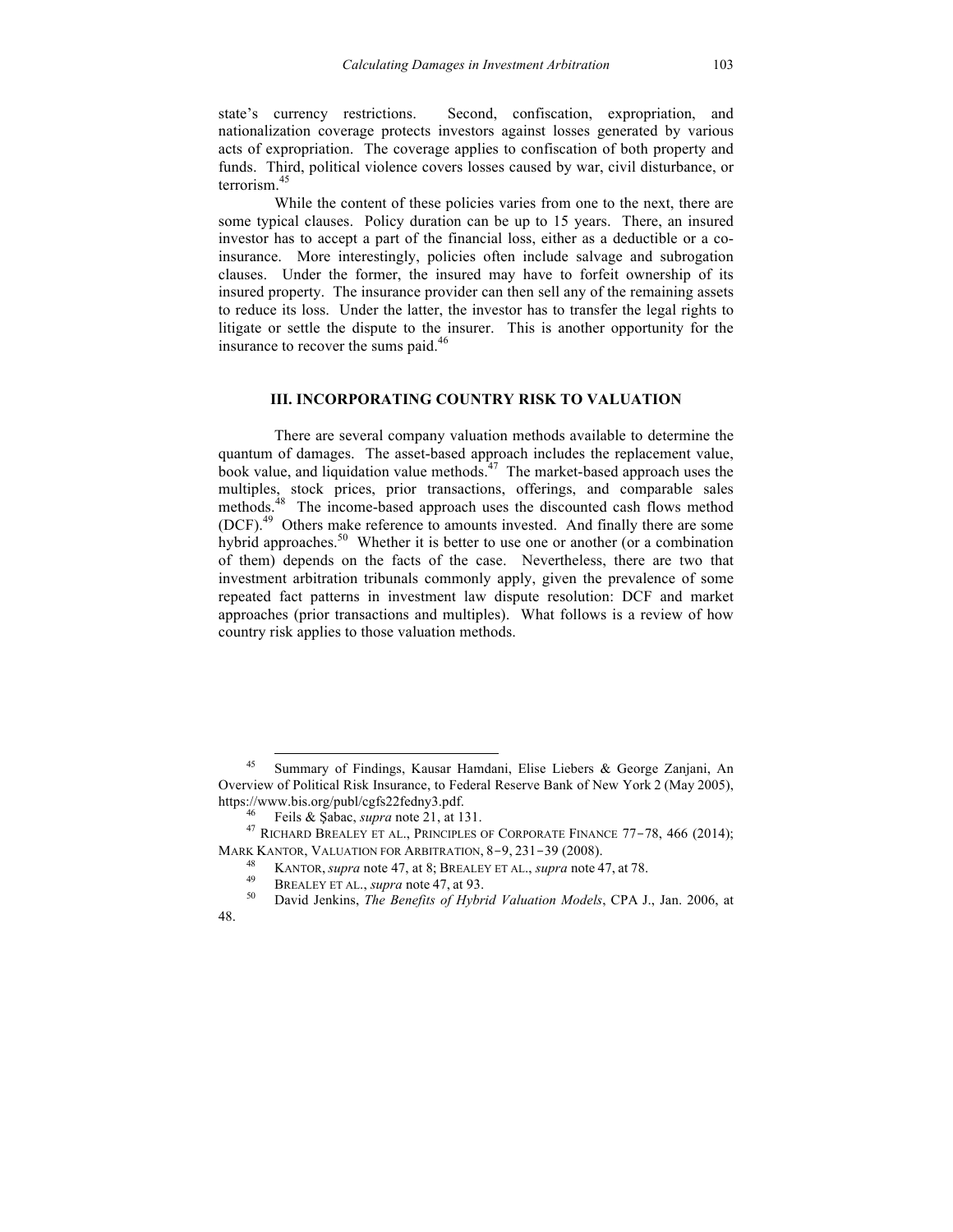state's currency restrictions. Second, confiscation, expropriation, and nationalization coverage protects investors against losses generated by various acts of expropriation. The coverage applies to confiscation of both property and funds. Third, political violence covers losses caused by war, civil disturbance, or terrorism.<sup>45</sup>

While the content of these policies varies from one to the next, there are some typical clauses. Policy duration can be up to 15 years. There, an insured investor has to accept a part of the financial loss, either as a deductible or a coinsurance. More interestingly, policies often include salvage and subrogation clauses. Under the former, the insured may have to forfeit ownership of its insured property. The insurance provider can then sell any of the remaining assets to reduce its loss. Under the latter, the investor has to transfer the legal rights to litigate or settle the dispute to the insurer. This is another opportunity for the insurance to recover the sums paid.<sup>46</sup>

#### **III. INCORPORATING COUNTRY RISK TO VALUATION**

There are several company valuation methods available to determine the quantum of damages. The asset-based approach includes the replacement value, book value, and liquidation value methods.<sup> $47$ </sup> The market-based approach uses the multiples, stock prices, prior transactions, offerings, and comparable sales methods.<sup>48</sup> The income-based approach uses the discounted cash flows method (DCF). 49 Others make reference to amounts invested. And finally there are some hybrid approaches.<sup>50</sup> Whether it is better to use one or another (or a combination of them) depends on the facts of the case. Nevertheless, there are two that investment arbitration tribunals commonly apply, given the prevalence of some repeated fact patterns in investment law dispute resolution: DCF and market approaches (prior transactions and multiples). What follows is a review of how country risk applies to those valuation methods.

 <sup>45</sup> Summary of Findings, Kausar Hamdani, Elise Liebers & George Zanjani, An Overview of Political Risk Insurance, to Federal Reserve Bank of New York 2 (May 2005),

https://www.bis.org/publ/cgfs22fedny3.pdf.<br><sup>46</sup> Feils & Şabac, *supra* note 21, at 131.<br><sup>47</sup> RICHARD BREALEY ET AL., PRINCIPLES OF CORPORATE FINANCE 77-78, 466 (2014); MARK KANTOR, VALUATION FOR ARBITRATION, 8–9, 231–39 (2008).<br><sup>48</sup> KANTOR, *supra* note 47, at 8; BREALEY ET AL., *supra* note 47, at 78.

<sup>48</sup> KANTOR, *supra* note 47, at 8; BREALEY ET AL., *supra* note 47, at 78. <sup>49</sup> BREALEY ET AL., *supra* note 47, at 93. <sup>50</sup> David Jenkins, *The Benefits of Hybrid Valuation Models*, CPA J., Jan. 2006, at 48.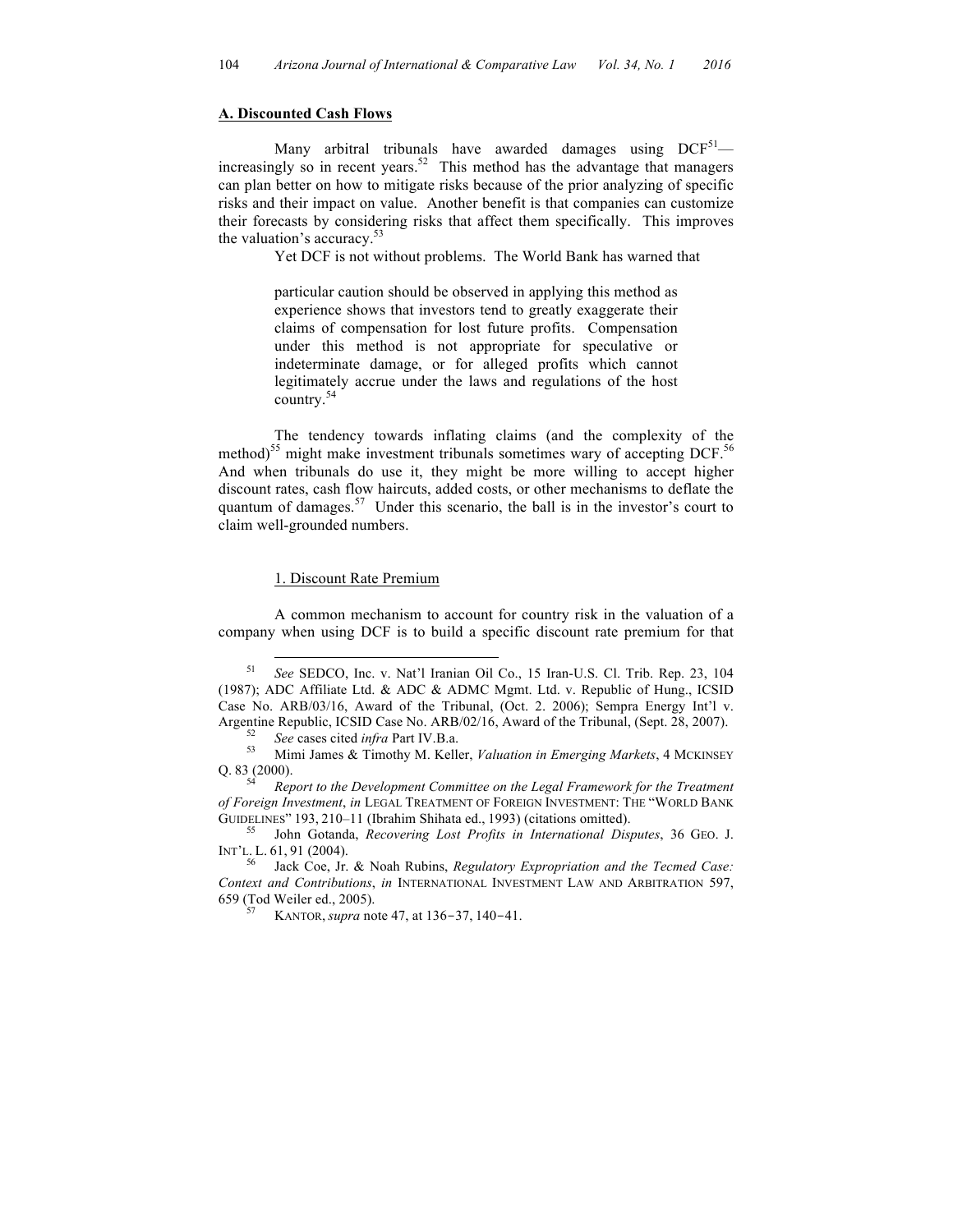### **A. Discounted Cash Flows**

Many arbitral tribunals have awarded damages using  $DCF^{51}$  increasingly so in recent years. 52 This method has the advantage that managers can plan better on how to mitigate risks because of the prior analyzing of specific risks and their impact on value. Another benefit is that companies can customize their forecasts by considering risks that affect them specifically. This improves the valuation's accuracy. $53$ 

Yet DCF is not without problems. The World Bank has warned that

particular caution should be observed in applying this method as experience shows that investors tend to greatly exaggerate their claims of compensation for lost future profits. Compensation under this method is not appropriate for speculative or indeterminate damage, or for alleged profits which cannot legitimately accrue under the laws and regulations of the host country.<sup>54</sup>

The tendency towards inflating claims (and the complexity of the method) <sup>55</sup> might make investment tribunals sometimes wary of accepting DCF. 56 And when tribunals do use it, they might be more willing to accept higher discount rates, cash flow haircuts, added costs, or other mechanisms to deflate the quantum of damages.<sup>57</sup> Under this scenario, the ball is in the investor's court to claim well-grounded numbers.

#### 1. Discount Rate Premium

A common mechanism to account for country risk in the valuation of a company when using DCF is to build a specific discount rate premium for that

 <sup>51</sup> *See* SEDCO, Inc. v. Nat'l Iranian Oil Co., 15 Iran-U.S. Cl. Trib. Rep. 23, 104 (1987); ADC Affiliate Ltd. & ADC & ADMC Mgmt. Ltd. v. Republic of Hung., ICSID Case No. ARB/03/16, Award of the Tribunal, (Oct. 2. 2006); Sempra Energy Int'l v. Argentine Republic, ICSID Case No. ARB/02/16, Award of the Tribunal, (Sept. 28, 2007).<br><sup>52</sup> *See* cases cited *infra* Part IV.B.a.<br><sup>53</sup> Mimi James & Timothy M. Keller, *Valuation in Emerging Markets*, 4 MCKINSEY

Q. 83 (2000). 54 *Report to the Development Committee on the Legal Framework for the Treatment* 

*of Foreign Investment*, *in* LEGAL TREATMENT OF FOREIGN INVESTMENT: THE "WORLD BANK GUIDELINES" 193, 210–11 (Ibrahim Shihata ed., 1993) (citations omitted). <sup>55</sup> John Gotanda, *Recovering Lost Profits in International Disputes*, 36 GEO. J.

INT'L. L. 61, 91 (2004).<br><sup>56</sup> Jack Coe, Jr. & Noah Rubins, *Regulatory Expropriation and the Tecmed Case:* 

*Context and Contributions*, *in* INTERNATIONAL INVESTMENT LAW AND ARBITRATION 597, 659 (Tod Weiler ed., 2005). <sup>57</sup> KANTOR, *supra* note 47, at 136-37, <sup>140</sup>-41.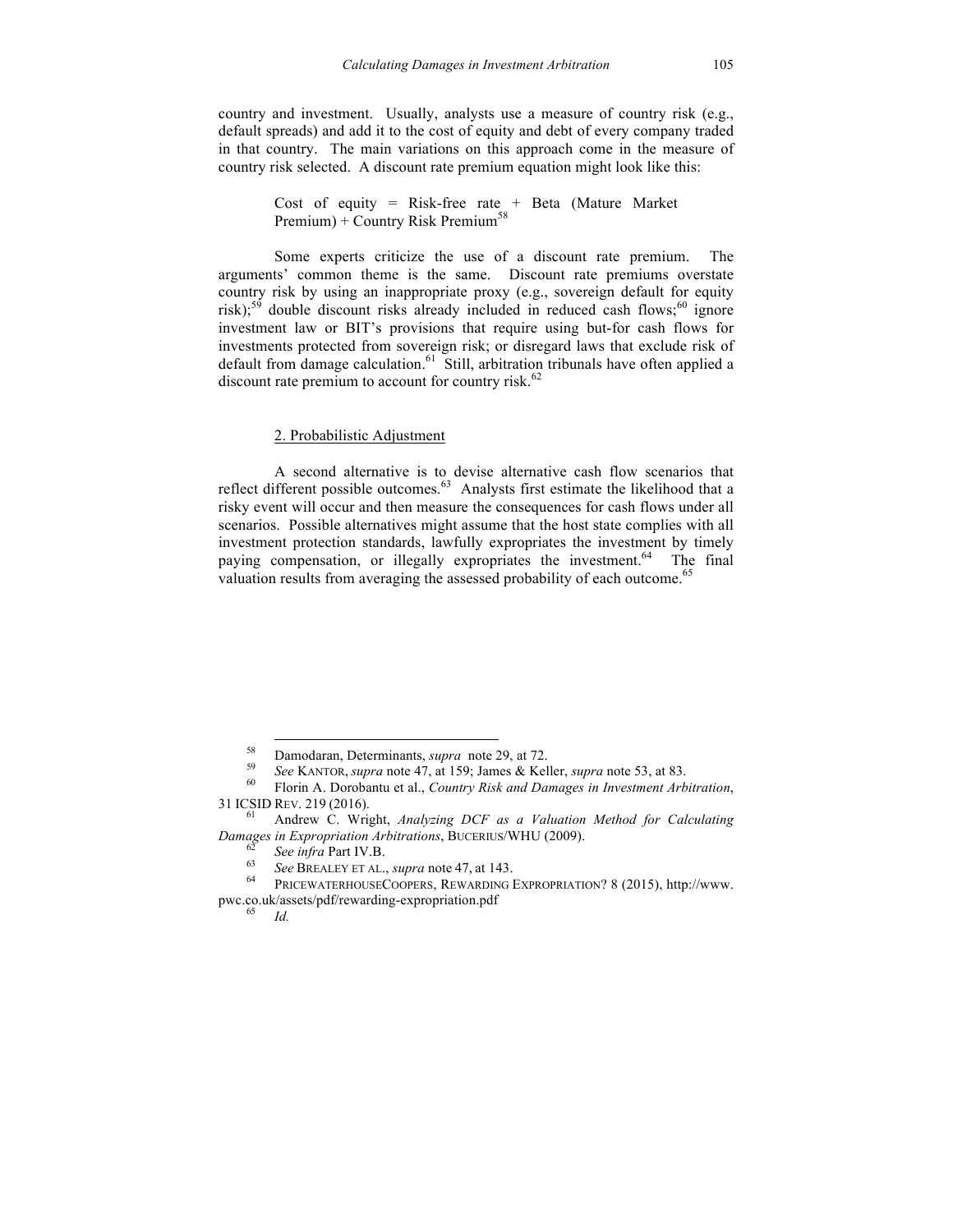country and investment. Usually, analysts use a measure of country risk (e.g., default spreads) and add it to the cost of equity and debt of every company traded in that country. The main variations on this approach come in the measure of country risk selected. A discount rate premium equation might look like this:

> Cost of equity = Risk-free rate + Beta (Mature Market Premium) + Country Risk Premium<sup>58</sup>

Some experts criticize the use of a discount rate premium. The arguments' common theme is the same. Discount rate premiums overstate country risk by using an inappropriate proxy (e.g., sovereign default for equity risk);<sup>59</sup> double discount risks already included in reduced cash flows;<sup>60</sup> ignore investment law or BIT's provisions that require using but-for cash flows for investments protected from sovereign risk; or disregard laws that exclude risk of default from damage calculation. 61 Still, arbitration tribunals have often applied a discount rate premium to account for country risk.<sup>62</sup>

## 2. Probabilistic Adjustment

A second alternative is to devise alternative cash flow scenarios that reflect different possible outcomes.<sup>63</sup> Analysts first estimate the likelihood that a risky event will occur and then measure the consequences for cash flows under all scenarios. Possible alternatives might assume that the host state complies with all investment protection standards, lawfully expropriates the investment by timely paying compensation, or illegally expropriates the investment.<sup>64</sup> The final valuation results from averaging the assessed probability of each outcome.<sup>65</sup>

<sup>&</sup>lt;sup>58</sup> Damodaran, Determinants, *supra* note 29, at 72.<br>
<sup>59</sup> See KANTOR, *supra* note 47, at 159; James & Keller, *supra* note 53, at 83.<br>
<sup>60</sup> Florin A. Dorobantu et al., *Country Risk and Damages in Investment Arbitratio* <sup>31</sup> ICSID REV. <sup>219</sup> (2016). <sup>61</sup> Andrew C. Wright, *Analyzing DCF as a Valuation Method for Calculating* 

Damages in Expropriation Arbitrations, BUCERIUS/WHU (2009).<br>
<sup>62</sup> See infra Part IV.B.<br>
<sup>63</sup> See BREALEY ET AL., *supra* note 47, at 143.<br>
<sup>64</sup> PRICEWATERHOUSECOOPERS, REWARDING EXPROPRIATION? 8 (2015), http://www.

pwc.co.uk/assets/pdf/rewarding-expropriation.pdf <sup>65</sup> *Id.*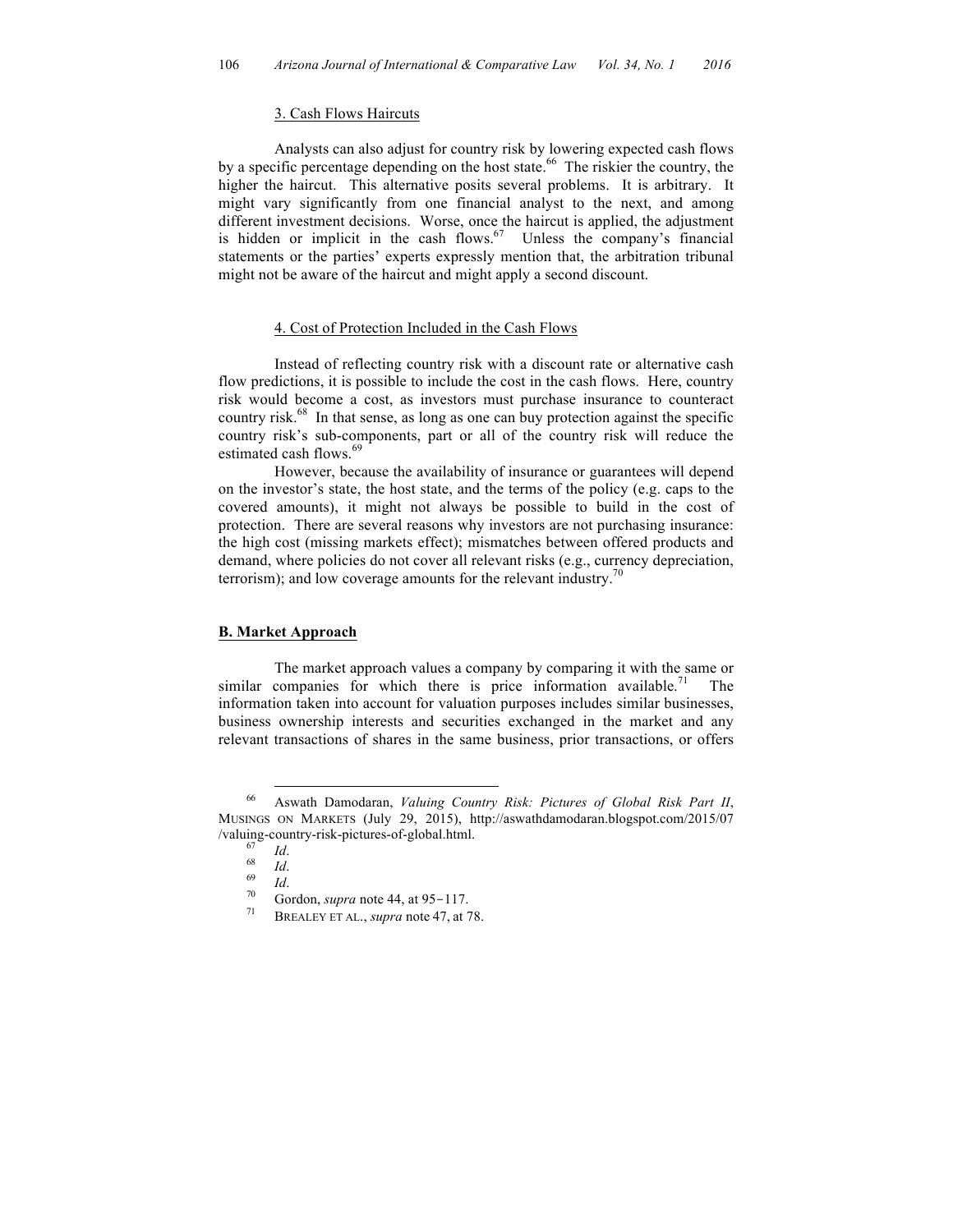## 3. Cash Flows Haircuts

Analysts can also adjust for country risk by lowering expected cash flows by a specific percentage depending on the host state.<sup>66</sup> The riskier the country, the higher the haircut. This alternative posits several problems. It is arbitrary. It might vary significantly from one financial analyst to the next, and among different investment decisions. Worse, once the haircut is applied, the adjustment is hidden or implicit in the cash flows. $67$  Unless the company's financial statements or the parties' experts expressly mention that, the arbitration tribunal might not be aware of the haircut and might apply a second discount.

## 4. Cost of Protection Included in the Cash Flows

Instead of reflecting country risk with a discount rate or alternative cash flow predictions, it is possible to include the cost in the cash flows. Here, country risk would become a cost, as investors must purchase insurance to counteract country risk. 68 In that sense, as long as one can buy protection against the specific country risk's sub-components, part or all of the country risk will reduce the estimated cash flows.<sup>69</sup>

However, because the availability of insurance or guarantees will depend on the investor's state, the host state, and the terms of the policy (e.g. caps to the covered amounts), it might not always be possible to build in the cost of protection. There are several reasons why investors are not purchasing insurance: the high cost (missing markets effect); mismatches between offered products and demand, where policies do not cover all relevant risks (e.g., currency depreciation, terrorism); and low coverage amounts for the relevant industry.<sup>70</sup>

## **B. Market Approach**

The market approach values a company by comparing it with the same or similar companies for which there is price information available.<sup>71</sup> The information taken into account for valuation purposes includes similar businesses, business ownership interests and securities exchanged in the market and any relevant transactions of shares in the same business, prior transactions, or offers

 <sup>66</sup> Aswath Damodaran, *Valuing Country Risk: Pictures of Global Risk Part II*, MUSINGS ON MARKETS (July 29, 2015), http://aswathdamodaran.blogspot.com/2015/07 /valuing-country-risk-pictures-of-global.html. <sup>67</sup> *Id*. 68 *Id*. 69 *Id*. 70 Gordon, *supra* note 44, at 95-117. <sup>71</sup> BREALEY ET AL., *supra* note 47, at 78.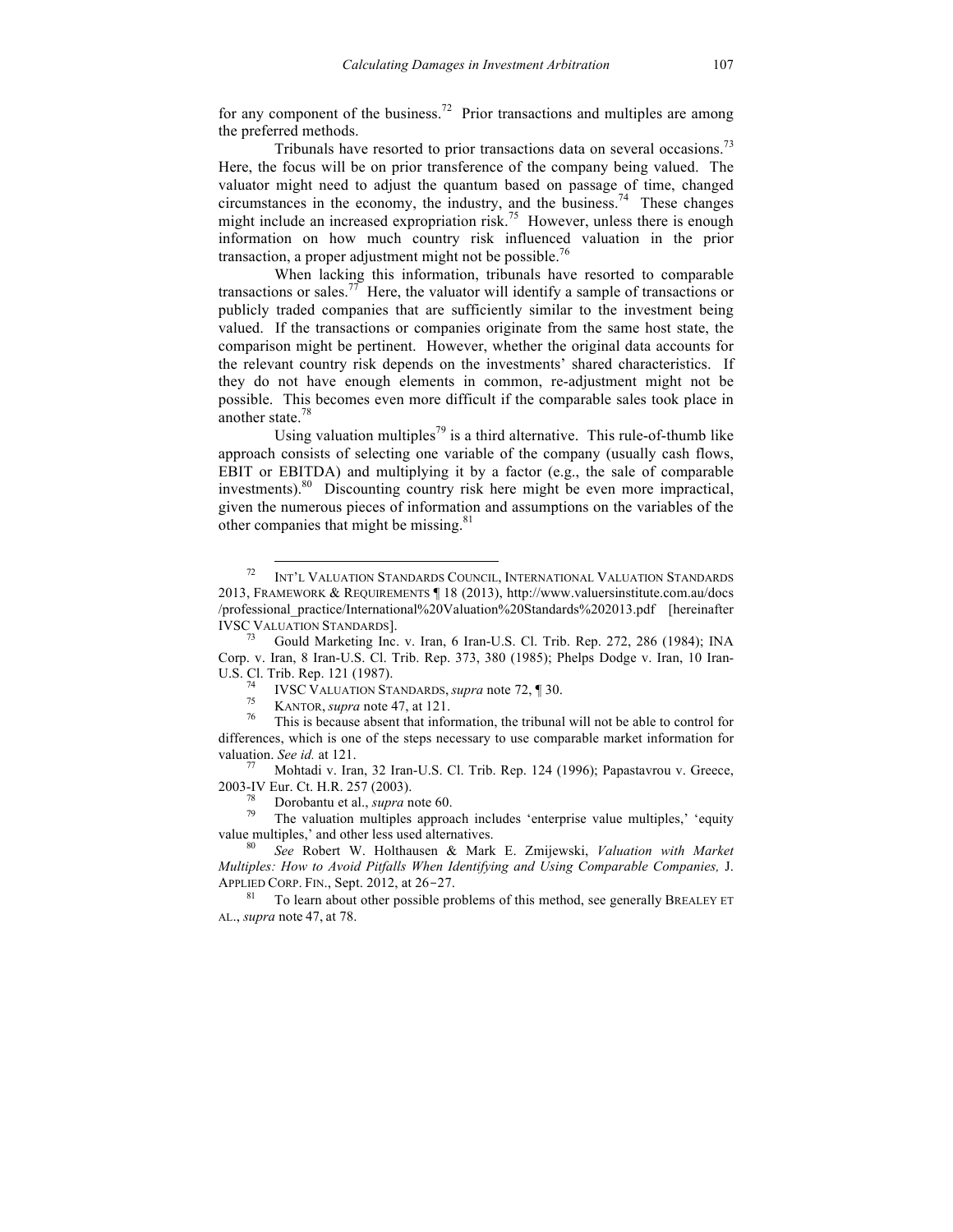for any component of the business.<sup>72</sup> Prior transactions and multiples are among the preferred methods.

Tribunals have resorted to prior transactions data on several occasions.<sup>73</sup> Here, the focus will be on prior transference of the company being valued. The valuator might need to adjust the quantum based on passage of time, changed circumstances in the economy, the industry, and the business. 74 These changes might include an increased expropriation risk.<sup>75</sup> However, unless there is enough information on how much country risk influenced valuation in the prior transaction, a proper adjustment might not be possible.<sup>76</sup>

When lacking this information, tribunals have resorted to comparable transactions or sales.<sup>77</sup> Here, the valuator will identify a sample of transactions or publicly traded companies that are sufficiently similar to the investment being valued. If the transactions or companies originate from the same host state, the comparison might be pertinent. However, whether the original data accounts for the relevant country risk depends on the investments' shared characteristics. If they do not have enough elements in common, re-adjustment might not be possible. This becomes even more difficult if the comparable sales took place in another state.<sup>78</sup>

Using valuation multiples<sup>79</sup> is a third alternative. This rule-of-thumb like approach consists of selecting one variable of the company (usually cash flows, EBIT or EBITDA) and multiplying it by a factor (e.g., the sale of comparable investments). 80 Discounting country risk here might be even more impractical, given the numerous pieces of information and assumptions on the variables of the other companies that might be missing.<sup>81</sup>

2003-IV Eur. Ct. H.R. 257 (2003).

 <sup>72</sup> INT'L VALUATION STANDARDS COUNCIL, INTERNATIONAL VALUATION STANDARDS 2013, FRAMEWORK & REQUIREMENTS ¶ 18 (2013), http://www.valuersinstitute.com.au/docs /professional\_practice/International%20Valuation%20Standards%202013.pdf [hereinafter IVSC VALUATION STANDARDS]. 73 Gould Marketing Inc. v. Iran, 6 Iran-U.S. Cl. Trib. Rep. 272, 286 (1984); INA

Corp. v. Iran, 8 Iran-U.S. Cl. Trib. Rep. 373, 380 (1985); Phelps Dodge v. Iran, 10 Iran-U.S. Cl. Trib. Rep. 121 (1987).<br><sup>74</sup> IVSC VALUATION STANDARDS, *supra* note 72, ¶ 30.<br><sup>75</sup> KANTOR, *supra* note 47, at 121.<br><sup>76</sup> This is because absent that information, the tribunal will not be able to control for

differences, which is one of the steps necessary to use comparable market information for valuation. *See id.* at 121.<br><sup>77</sup> Mohtadi v. Iran, 32 Iran-U.S. Cl. Trib. Rep. 124 (1996); Papastavrou v. Greece,

<sup>&</sup>lt;sup>78</sup> Dorobantu et al., *supra* note 60.<br><sup>79</sup> The valuation multiples approach includes 'enterprise value multiples,' 'equity value multiples,' and other less used alternatives. 80 *See* Robert W. Holthausen & Mark E. Zmijewski, *Valuation with Market* 

*Multiples: How to Avoid Pitfalls When Identifying and Using Comparable Companies,* J. APPLIED CORP. FIN., Sept. 2012, at 26-27.

To learn about other possible problems of this method, see generally BREALEY ET AL., *supra* note 47, at 78.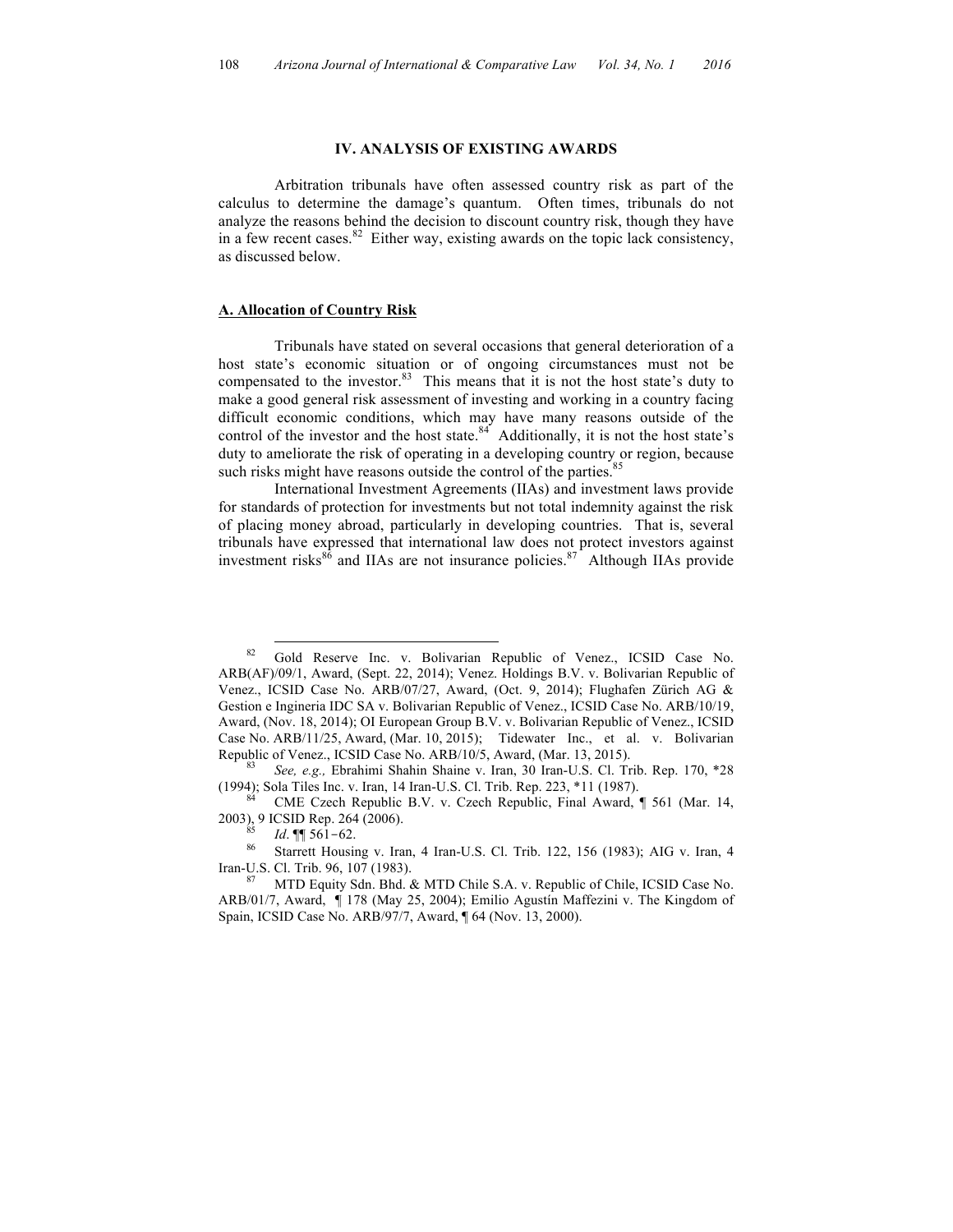#### **IV. ANALYSIS OF EXISTING AWARDS**

Arbitration tribunals have often assessed country risk as part of the calculus to determine the damage's quantum. Often times, tribunals do not analyze the reasons behind the decision to discount country risk, though they have in a few recent cases. 82 Either way, existing awards on the topic lack consistency, as discussed below.

#### **A. Allocation of Country Risk**

Tribunals have stated on several occasions that general deterioration of a host state's economic situation or of ongoing circumstances must not be compensated to the investor.<sup>83</sup> This means that it is not the host state's duty to make a good general risk assessment of investing and working in a country facing difficult economic conditions, which may have many reasons outside of the control of the investor and the host state. $84$  Additionally, it is not the host state's duty to ameliorate the risk of operating in a developing country or region, because such risks might have reasons outside the control of the parties.<sup>85</sup>

International Investment Agreements (IIAs) and investment laws provide for standards of protection for investments but not total indemnity against the risk of placing money abroad, particularly in developing countries. That is, several tribunals have expressed that international law does not protect investors against investment risks<sup>86</sup> and IIAs are not insurance policies.<sup>87</sup> Although IIAs provide

2003), 9 ICSID Rep. 264 (2006).<br><sup>85</sup> *Id.* ¶ 561-62.<br><sup>86</sup> Starrett Housing v. Iran, 4 Iran-U.S. Cl. Trib. 122, 156 (1983); AIG v. Iran, 4

<sup>&</sup>lt;sup>82</sup> Gold Reserve Inc. v. Bolivarian Republic of Venez., ICSID Case No. ARB(AF)/09/1, Award, (Sept. 22, 2014); Venez. Holdings B.V. v. Bolivarian Republic of Venez., ICSID Case No. ARB/07/27, Award, (Oct. 9, 2014); Flughafen Zürich AG & Gestion e Ingineria IDC SA v. Bolivarian Republic of Venez., ICSID Case No. ARB/10/19, Award, (Nov. 18, 2014); OI European Group B.V. v. Bolivarian Republic of Venez., ICSID Case No. ARB/11/25, Award, (Mar. 10, 2015); Tidewater Inc., et al. v. Bolivarian Republic of Venez., ICSID Case No. ARB/10/5, Award, (Mar. 13, 2015).<br><sup>83</sup> *See, e.g.,* Ebrahimi Shahin Shaine v. Iran, 30 Iran-U.S. Cl. Trib. Rep. 170, \*28

<sup>(1994);</sup> Sola Tiles Inc. v. Iran, 14 Iran-U.S. Cl. Trib. Rep. 223,  $*11$  (1987).<br><sup>84</sup> CME Czech Republic B.V. v. Czech Republic, Final Award, ¶ 561 (Mar. 14,

Iran-U.S. Cl. Trib. 96, 107 (1983).

MTD Equity Sdn. Bhd. & MTD Chile S.A. v. Republic of Chile, ICSID Case No. ARB/01/7, Award, ¶ 178 (May 25, 2004); Emilio Agustín Maffezini v. The Kingdom of Spain, ICSID Case No. ARB/97/7, Award, ¶ 64 (Nov. 13, 2000).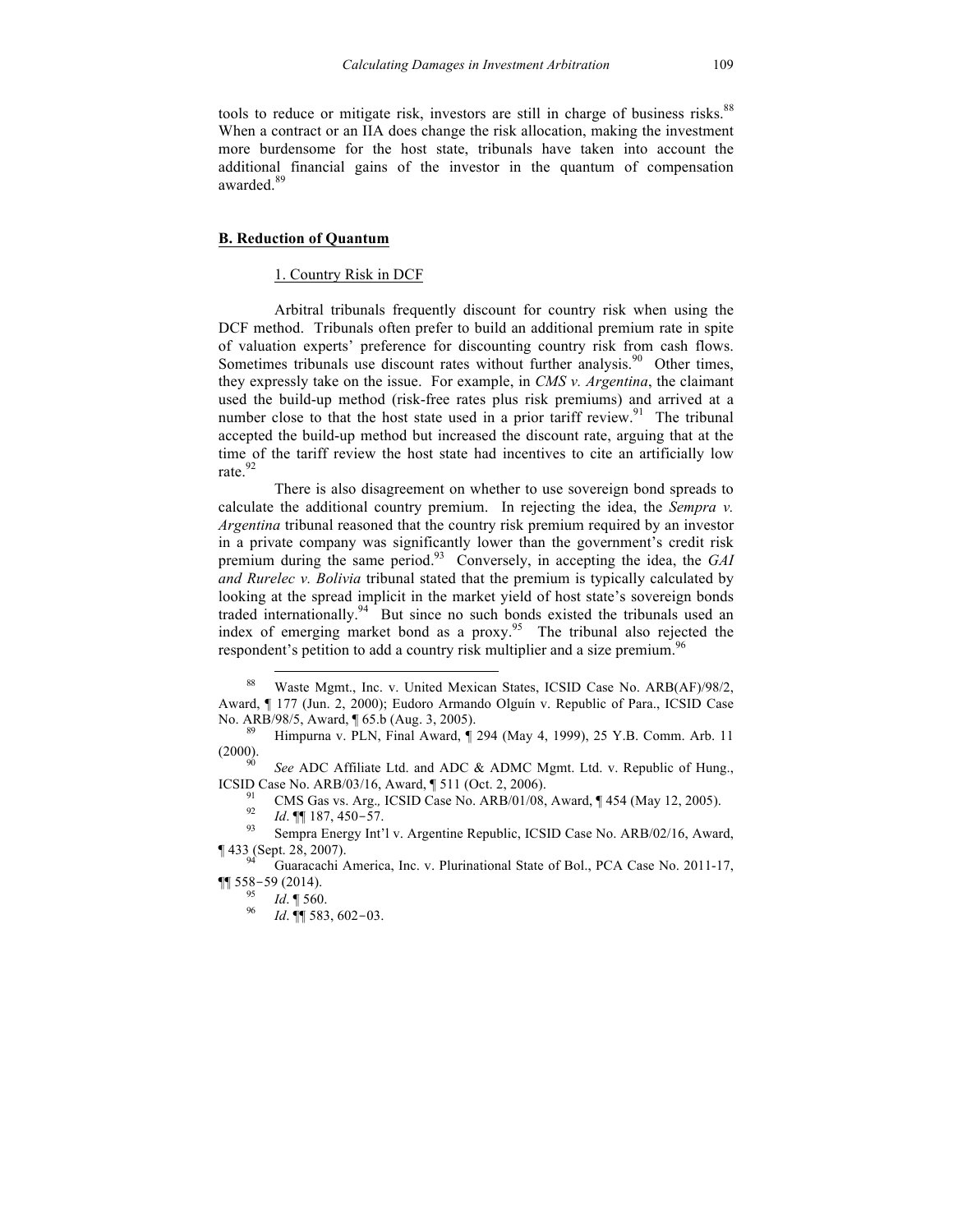tools to reduce or mitigate risk, investors are still in charge of business risks. 88 When a contract or an IIA does change the risk allocation, making the investment more burdensome for the host state, tribunals have taken into account the additional financial gains of the investor in the quantum of compensation awarded.<sup>89</sup>

## **B. Reduction of Quantum**

### 1. Country Risk in DCF

Arbitral tribunals frequently discount for country risk when using the DCF method. Tribunals often prefer to build an additional premium rate in spite of valuation experts' preference for discounting country risk from cash flows. Sometimes tribunals use discount rates without further analysis.<sup>90</sup> Other times, they expressly take on the issue. For example, in *CMS v. Argentina*, the claimant used the build-up method (risk-free rates plus risk premiums) and arrived at a number close to that the host state used in a prior tariff review.<sup>91</sup> The tribunal accepted the build-up method but increased the discount rate, arguing that at the time of the tariff review the host state had incentives to cite an artificially low rate.<sup>92</sup>

There is also disagreement on whether to use sovereign bond spreads to calculate the additional country premium. In rejecting the idea, the *Sempra v. Argentina* tribunal reasoned that the country risk premium required by an investor in a private company was significantly lower than the government's credit risk premium during the same period. 93 Conversely, in accepting the idea, the *GAI and Rurelec v. Bolivia* tribunal stated that the premium is typically calculated by looking at the spread implicit in the market yield of host state's sovereign bonds traded internationally.<sup>94</sup> But since no such bonds existed the tribunals used an index of emerging market bond as a proxy. 95 The tribunal also rejected the respondent's petition to add a country risk multiplier and a size premium.<sup>9</sup>

(2000).<br><sup>90</sup> *See* ADC Affiliate Ltd. and ADC & ADMC Mgmt. Ltd. v. Republic of Hung.,

ICSID Case No. ARB/03/16, Award, ¶ 511 (Oct. 2, 2006).<br><sup>91</sup> CMS Gas vs. Arg., ICSID Case No. ARB/01/08, Award, ¶ 454 (May 12, 2005).<br><sup>92</sup> Id. ¶ 187, 450–57.<br><sup>93</sup> Sempra Energy Int'l v. Argentine Republic, ICSID Case No. A

Waste Mgmt., Inc. v. United Mexican States, ICSID Case No. ARB(AF)/98/2, Award, ¶ 177 (Jun. 2, 2000); Eudoro Armando Olguín v. Republic of Para., ICSID Case No. ARB/98/5, Award, ¶ 65.b (Aug. 3, 2005).<br><sup>89</sup> Himpurna v. PLN, Final Award, ¶ 294 (May 4, 1999), 25 Y.B. Comm. Arb. 11

<sup>¶ 433 (</sup>Sept. 28, 2007). <sup>94</sup> Guaracachi America, Inc. v. Plurinational State of Bol., PCA Case No. 2011-17,  $\P\P$  558-59 (2014).

<sup>95</sup> *Id*. ¶ 560. <sup>96</sup> *Id*. ¶¶ 583, 602-03.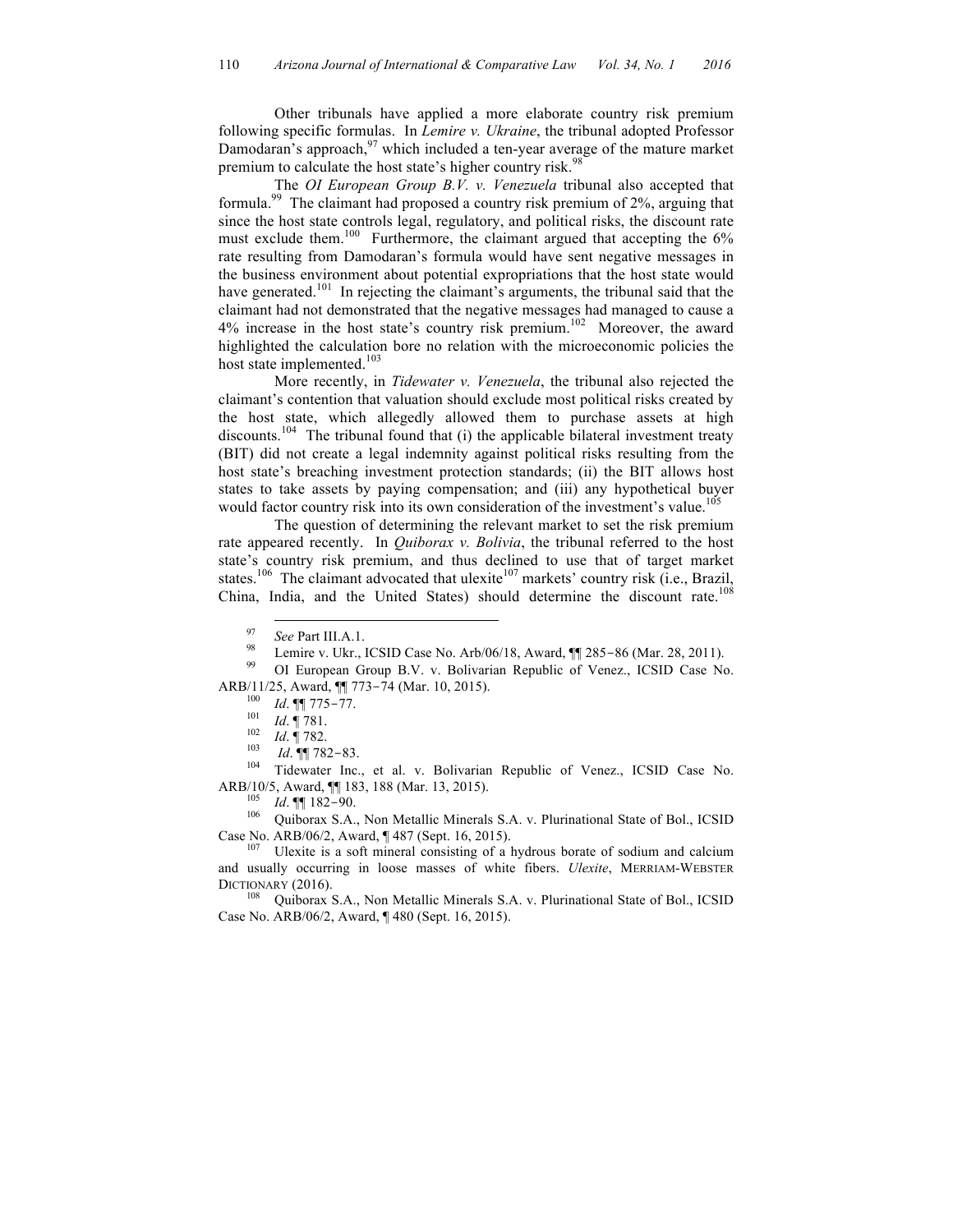Other tribunals have applied a more elaborate country risk premium following specific formulas. In *Lemire v. Ukraine*, the tribunal adopted Professor Damodaran's approach,  $97$  which included a ten-year average of the mature market premium to calculate the host state's higher country risk.<sup>98</sup>

The *OI European Group B.V. v. Venezuela* tribunal also accepted that formula.<sup>99</sup> The claimant had proposed a country risk premium of 2%, arguing that since the host state controls legal, regulatory, and political risks, the discount rate must exclude them.<sup>100</sup> Furthermore, the claimant argued that accepting the 6% rate resulting from Damodaran's formula would have sent negative messages in the business environment about potential expropriations that the host state would have generated.<sup>101</sup> In rejecting the claimant's arguments, the tribunal said that the claimant had not demonstrated that the negative messages had managed to cause a  $4\%$  increase in the host state's country risk premium.<sup>102</sup> Moreover, the award highlighted the calculation bore no relation with the microeconomic policies the host state implemented.<sup>103</sup>

More recently, in *Tidewater v. Venezuela*, the tribunal also rejected the claimant's contention that valuation should exclude most political risks created by the host state, which allegedly allowed them to purchase assets at high discounts.<sup>104</sup> The tribunal found that (i) the applicable bilateral investment treaty (BIT) did not create a legal indemnity against political risks resulting from the host state's breaching investment protection standards; (ii) the BIT allows host states to take assets by paying compensation; and (iii) any hypothetical buyer would factor country risk into its own consideration of the investment's value.<sup>10</sup>

The question of determining the relevant market to set the risk premium rate appeared recently. In *Quiborax v. Bolivia*, the tribunal referred to the host state's country risk premium, and thus declined to use that of target market states.<sup>106</sup> The claimant advocated that ulexite<sup>107</sup> markets' country risk (i.e., Brazil, China, India, and the United States) should determine the discount rate.<sup>108</sup>

<sup>104</sup> Tidewater Inc., et al. v. Bolivarian Republic of Venez., ICSID Case No.<br>ARB/10/5, Award,  $\P$  183, 188 (Mar. 13, 2015).<br><sup>105</sup> *Id*  $\P$  **1122.** 00

<sup>105</sup> *Id.* ¶ 182-90.<br><sup>106</sup> Quiborax S.A., Non Metallic Minerals S.A. v. Plurinational State of Bol., ICSID Case No. ARB/06/2, Award, ¶ 487 (Sept. 16, 2015).<br><sup>107</sup> Ulexite is a soft mineral consisting of a hydrous borate of sodium and calcium

and usually occurring in loose masses of white fibers. *Ulexite*, MERRIAM-WEBSTER<br>DICTIONARY (2016).<br><sup>108</sup> Ouiborax S.A. Non Metallic Minerals S.A. y. Phirinational State of Pol. JCSID

Quiborax S.A., Non Metallic Minerals S.A. v. Plurinational State of Bol., ICSID Case No. ARB/06/2, Award, ¶ 480 (Sept. 16, 2015).

<sup>&</sup>lt;sup>97</sup> *See* Part III.A.1.<br><sup>98</sup> Lemire v. Ukr., ICSID Case No. Arb/06/18, Award, ¶¶ 285-86 (Mar. 28, 2011).<br><sup>99</sup> OI European Group B.V. v. Bolivarian Republic of Venez., ICSID Case No.

ARB/11/25, Award, ¶¶ 773-74 (Mar. 10, 2015).<br>
<sup>100</sup> *Id.* ¶ 775-77.<br>
<sup>101</sup> *Id.* ¶ 781.<br>
<sup>102</sup> *Id.* ¶ 782-83.<br>
<sup>104</sup> *Id*. ¶ 782-83.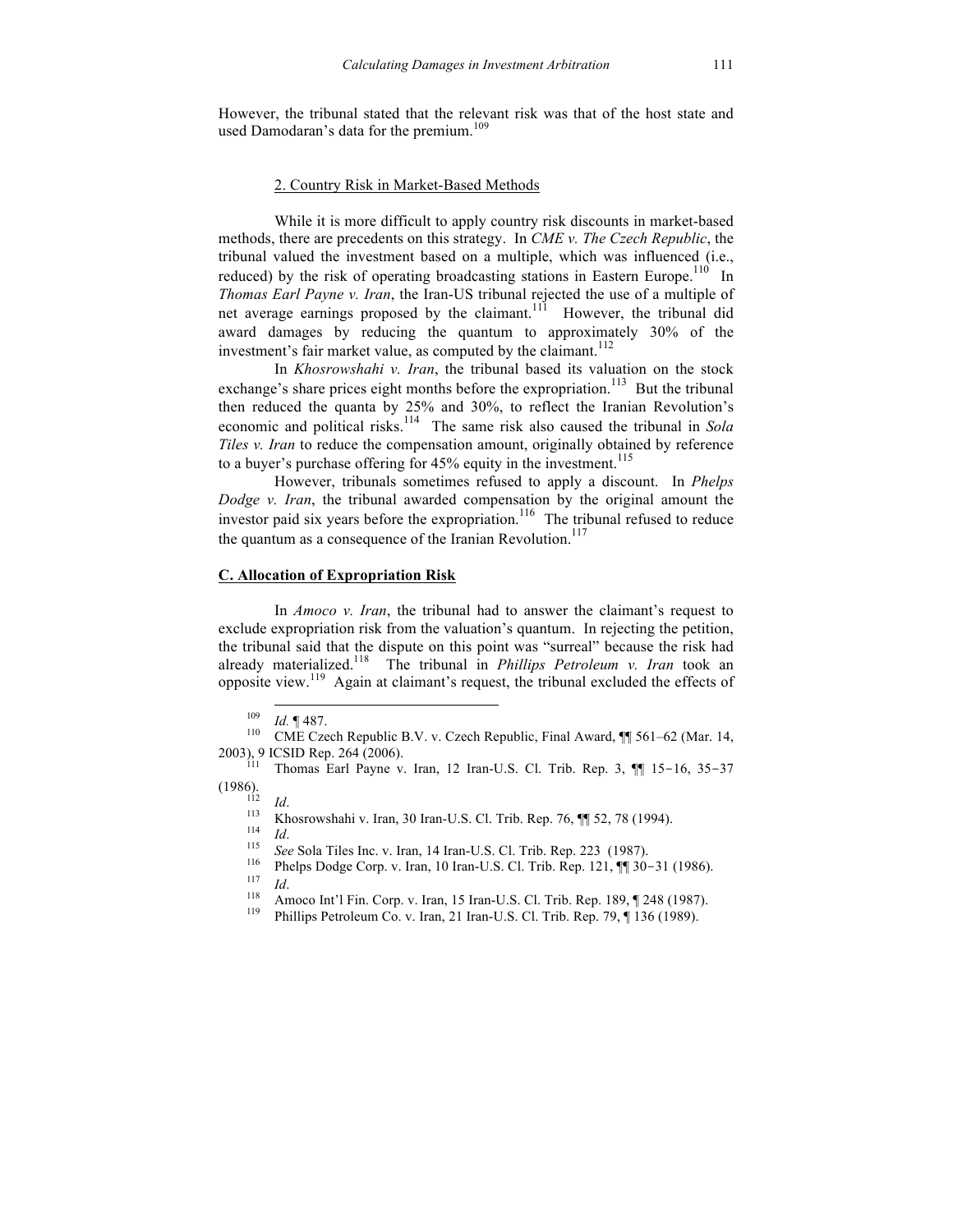However, the tribunal stated that the relevant risk was that of the host state and used Damodaran's data for the premium.<sup>109</sup>

### 2. Country Risk in Market-Based Methods

While it is more difficult to apply country risk discounts in market-based methods, there are precedents on this strategy. In *CME v. The Czech Republic*, the tribunal valued the investment based on a multiple, which was influenced (i.e., reduced) by the risk of operating broadcasting stations in Eastern Europe.<sup>110</sup> In *Thomas Earl Payne v. Iran*, the Iran-US tribunal rejected the use of a multiple of net average earnings proposed by the claimant.<sup>111</sup> However, the tribunal did award damages by reducing the quantum to approximately 30% of the investment's fair market value, as computed by the claimant.<sup>112</sup>

In *Khosrowshahi v. Iran*, the tribunal based its valuation on the stock exchange's share prices eight months before the expropriation.<sup>113</sup> But the tribunal then reduced the quanta by 25% and 30%, to reflect the Iranian Revolution's economic and political risks.<sup>114</sup> The same risk also caused the tribunal in *Sola Tiles v. Iran* to reduce the compensation amount, originally obtained by reference to a buyer's purchase offering for 45% equity in the investment. 115

However, tribunals sometimes refused to apply a discount. In *Phelps Dodge v. Iran*, the tribunal awarded compensation by the original amount the investor paid six years before the expropriation.<sup>116</sup> The tribunal refused to reduce the quantum as a consequence of the Iranian Revolution.<sup>117</sup>

## **C. Allocation of Expropriation Risk**

In *Amoco v. Iran*, the tribunal had to answer the claimant's request to exclude expropriation risk from the valuation's quantum. In rejecting the petition, the tribunal said that the dispute on this point was "surreal" because the risk had already materialized. 118 The tribunal in *Phillips Petroleum v. Iran* took an opposite view. 119 Again at claimant's request, the tribunal excluded the effects of

<sup>&</sup>lt;sup>109</sup> *Id.* ¶ 487.<br>
<sup>110</sup> CME Czech Republic B.V. v. Czech Republic, Final Award, ¶¶ 561–62 (Mar. 14,<br>
<sup>2003</sup>), 9 ICSID Rep. 264 (2006).<br>
<sup>111</sup> Thomas Farl Payne y Jran, 12 Jran-U.S. Cl. Trib. Rep. 3. ¶¶ 15–16, 35–37

Thomas Earl Payne v. Iran, 12 Iran-U.S. Cl. Trib. Rep. 3,  $\P$  15-16, 35-37

<sup>(1986).&</sup>lt;br>
<sup>112</sup> *Id.*<br>
<sup>113</sup> Khosrowshahi v. Iran, 30 Iran-U.S. Cl. Trib. Rep. 76,  $\P$  52, 78 (1994).<br>
<sup>114</sup> *Id.*<br>
<sup>115</sup> *See* Sola Tiles Inc. v. Iran, 14 Iran-U.S. Cl. Trib. Rep. 223 (1987).<br>
<sup>116</sup> Phelps Dodge Corp. v.

<sup>&</sup>lt;sup>117</sup> *Id.* 118 Amoco Int'l Fin. Corp. v. Iran, 15 Iran-U.S. Cl. Trib. Rep. 189, ¶ 248 (1987).<br><sup>119</sup> Phillips Petroleum Co. v. Iran, 21 Iran-U.S. Cl. Trib. Rep. 79, ¶ 136 (1989).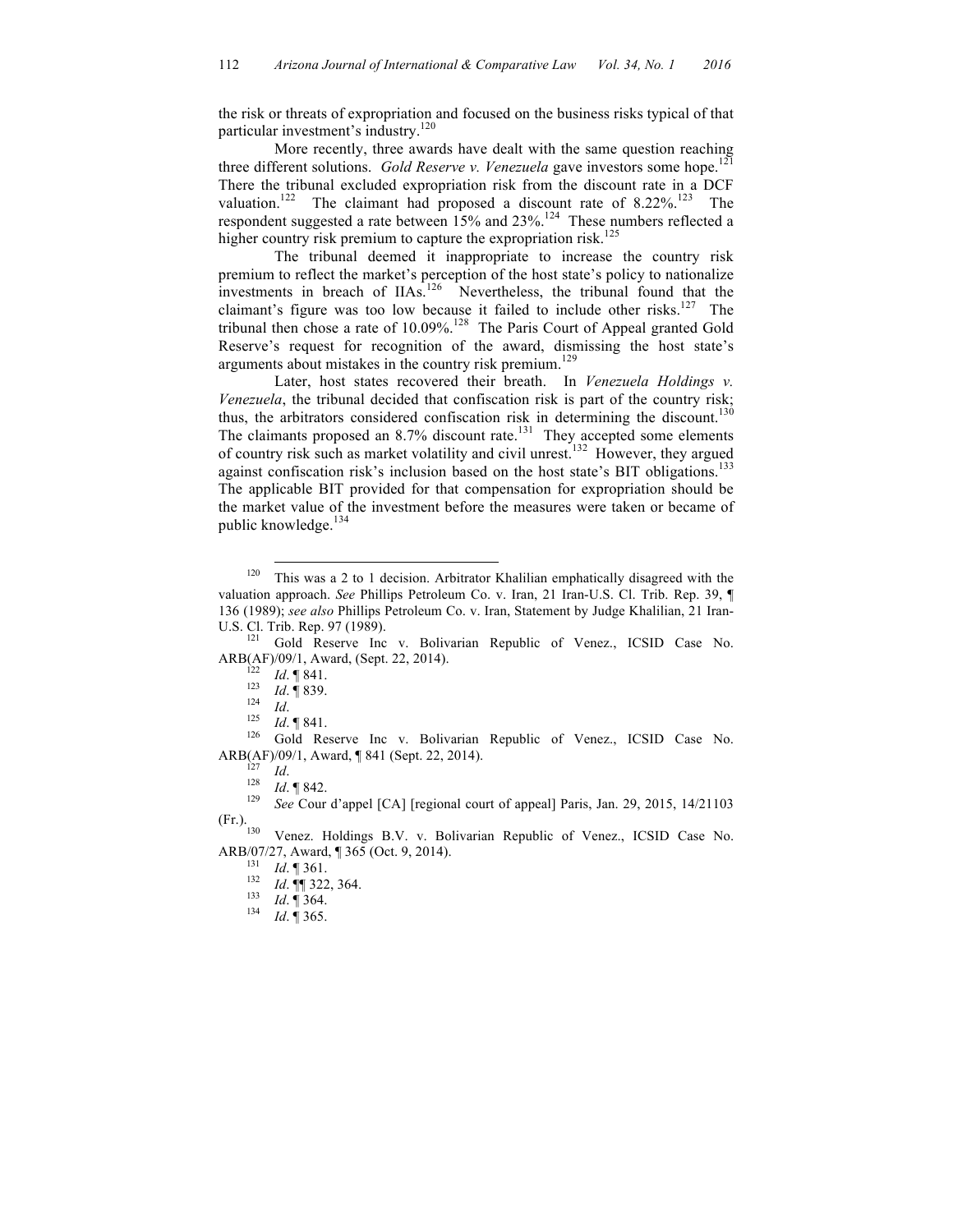the risk or threats of expropriation and focused on the business risks typical of that particular investment's industry.<sup>120</sup>

More recently, three awards have dealt with the same question reaching three different solutions. *Gold Reserve v. Venezuela* gave investors some hope. 121 There the tribunal excluded expropriation risk from the discount rate in a DCF valuation.<sup>122</sup> The claimant had proposed a discount rate of  $8.22\%$ .<sup>123</sup> The respondent suggested a rate between  $15\%$  and  $23\%$ .<sup>124</sup> These numbers reflected a higher country risk premium to capture the expropriation risk.<sup>125</sup>

The tribunal deemed it inappropriate to increase the country risk premium to reflect the market's perception of the host state's policy to nationalize investments in breach of IIAs.<sup>126</sup> Nevertheless, the tribunal found that the claimant's figure was too low because it failed to include other risks.<sup>127</sup> The tribunal then chose a rate of 10.09%. 128 The Paris Court of Appeal granted Gold Reserve's request for recognition of the award, dismissing the host state's arguments about mistakes in the country risk premium.<sup>129</sup>

Later, host states recovered their breath. In *Venezuela Holdings v. Venezuela*, the tribunal decided that confiscation risk is part of the country risk; thus, the arbitrators considered confiscation risk in determining the discount.<sup>130</sup> The claimants proposed an 8.7% discount rate.<sup>131</sup> They accepted some elements of country risk such as market volatility and civil unrest. 132 However, they argued against confiscation risk's inclusion based on the host state's BIT obligations. 133 The applicable BIT provided for that compensation for expropriation should be the market value of the investment before the measures were taken or became of public knowledge.<sup>134</sup>

<sup>122</sup> *Id.* ¶ 841.<br>
<sup>123</sup> *Id.* ¶ 839.<br>
<sup>124</sup> *Id.* ¶ 841.<br>
<sup>126</sup> Gold Reserve Inc v. Bolivarian Republic of Venez., ICSID Case No. ARB(AF)/09/1, Award, ¶ 841 (Sept. 22, 2014).<br><sup>127</sup> *Id.* 1842.<br><sup>128</sup> *See* Cour d'appel [CA] [regional court of appeal] Paris, Jan. 29, 2015, 14/21103

 $120$  This was a 2 to 1 decision. Arbitrator Khalilian emphatically disagreed with the valuation approach. *See* Phillips Petroleum Co. v. Iran, 21 Iran-U.S. Cl. Trib. Rep. 39, ¶ 136 (1989); *see also* Phillips Petroleum Co. v. Iran, Statement by Judge Khalilian, 21 Iran-

U.S. Cl. Trib. Rep. 97 (1989).<br><sup>121</sup> Gold Reserve Inc v. Bolivarian Republic of Venez., ICSID Case No.<br>ARB(AF)/09/1, Award, (Sept. 22, 2014).

<sup>(</sup>Fr.).

<sup>&</sup>lt;sup>130</sup> Venez. Holdings B.V. v. Bolivarian Republic of Venez., ICSID Case No. ARB/07/27, Award, ¶ 365 (Oct. 9, 2014).<br>
<sup>131</sup> *Id*. ¶ 361.<br>
<sup>132</sup> *Id*. ¶ 322, 364.<br>
<sup>133</sup> *Id*. ¶ 364.<br>
<sup>134</sup> *Id*. ¶ 365.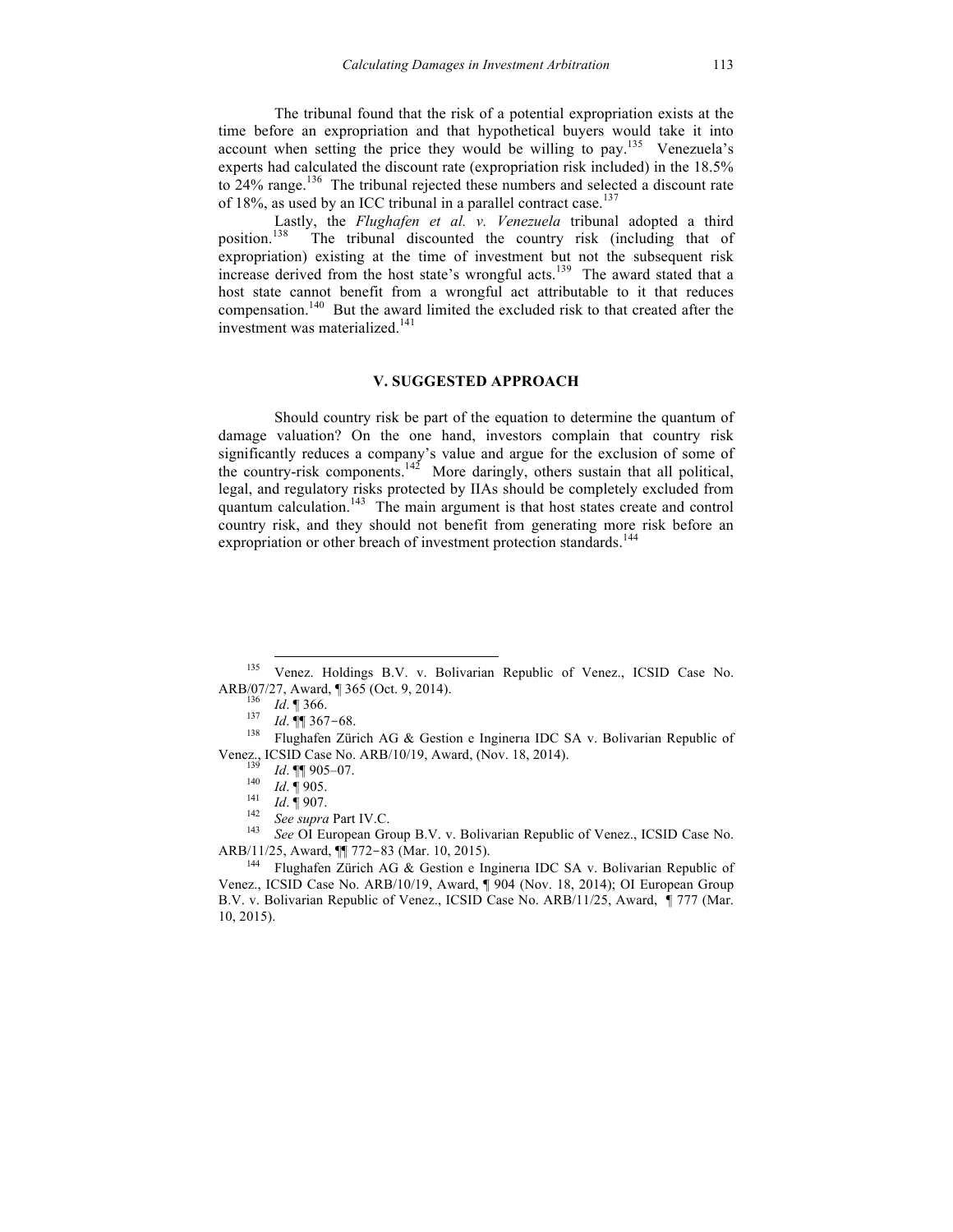The tribunal found that the risk of a potential expropriation exists at the time before an expropriation and that hypothetical buyers would take it into account when setting the price they would be willing to pay.<sup>135</sup> Venezuela's experts had calculated the discount rate (expropriation risk included) in the 18.5% to 24% range.<sup>136</sup> The tribunal rejected these numbers and selected a discount rate of 18%, as used by an ICC tribunal in a parallel contract case.<sup>137</sup>

Lastly, the *Flughafen et al. v. Venezuela* tribunal adopted a third position. The tribunal discounted the country risk (including that of expropriation) existing at the time of investment but not the subsequent risk increase derived from the host state's wrongful acts. 139 The award stated that a host state cannot benefit from a wrongful act attributable to it that reduces compensation. 140 But the award limited the excluded risk to that created after the investment was materialized. 141

### **V. SUGGESTED APPROACH**

Should country risk be part of the equation to determine the quantum of damage valuation? On the one hand, investors complain that country risk significantly reduces a company's value and argue for the exclusion of some of the country-risk components.<sup>142</sup> More daringly, others sustain that all political, legal, and regulatory risks protected by IIAs should be completely excluded from quantum calculation.<sup>143</sup> The main argument is that host states create and control country risk, and they should not benefit from generating more risk before an expropriation or other breach of investment protection standards.<sup>144</sup>

ARB/11/25, Award, ¶¶ 772-83 (Mar. 10, 2015).

<sup>144</sup> Flughafen Zürich AG & Gestion e Ingineria IDC SA v. Bolivarian Republic of Venez., ICSID Case No. ARB/10/19, Award, ¶ 904 (Nov. 18, 2014); OI European Group B.V. v. Bolivarian Republic of Venez., ICSID Case No. ARB/11/25, Award, ¶ 777 (Mar. 10, 2015).

 <sup>135</sup> Venez. Holdings B.V. v. Bolivarian Republic of Venez., ICSID Case No.

ARB/07/27, Award, ¶ 365 (Oct. 9, 2014).<br><sup>136</sup> *Id.* ¶ 366.<br><sup>137</sup> *Id.* ¶¶ 367-68.<br><sup>138</sup> Flughafen Zürich AG & Gestion e Ingineria IDC SA v. Bolivarian Republic of Venez., ICSID Case No. ARB/10/19, Award, (Nov. 18, 2014).<br>
<sup>139</sup> *Id.*  $\P$  905-07.<br>
<sup>140</sup> *Id.*  $\P$  905.<br>
<sup>141</sup> *Id.*  $\P$  907.<br>
<sup>142</sup> *See supra* Part IV.C.<br>
<sup>143</sup> *See* OI European Group B.V. v. Bolivarian Republic of Ve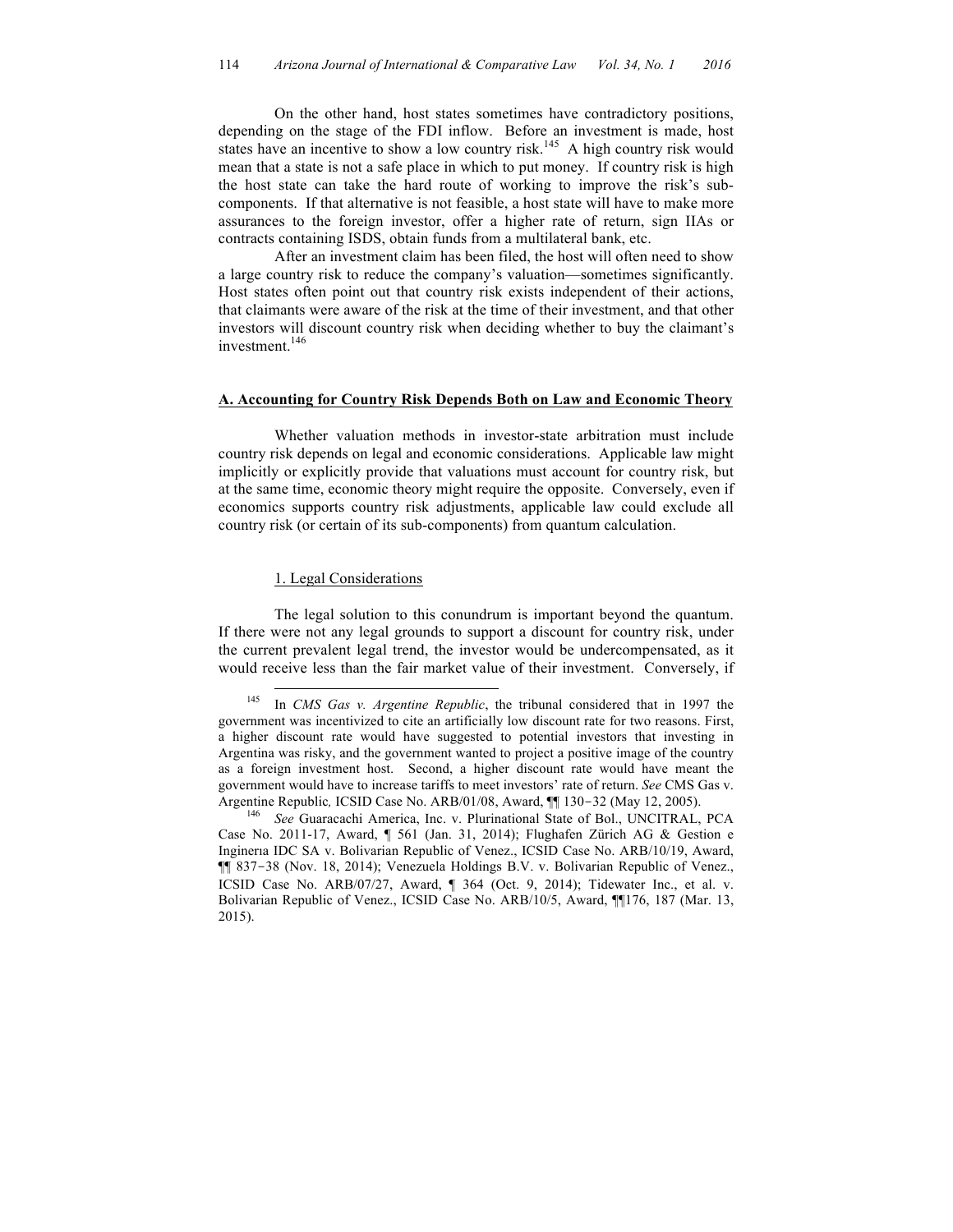On the other hand, host states sometimes have contradictory positions, depending on the stage of the FDI inflow. Before an investment is made, host states have an incentive to show a low country risk.<sup>145</sup> A high country risk would mean that a state is not a safe place in which to put money. If country risk is high the host state can take the hard route of working to improve the risk's subcomponents. If that alternative is not feasible, a host state will have to make more assurances to the foreign investor, offer a higher rate of return, sign IIAs or contracts containing ISDS, obtain funds from a multilateral bank, etc.

After an investment claim has been filed, the host will often need to show a large country risk to reduce the company's valuation—sometimes significantly. Host states often point out that country risk exists independent of their actions, that claimants were aware of the risk at the time of their investment, and that other investors will discount country risk when deciding whether to buy the claimant's investment. 146

## **A. Accounting for Country Risk Depends Both on Law and Economic Theory**

Whether valuation methods in investor-state arbitration must include country risk depends on legal and economic considerations. Applicable law might implicitly or explicitly provide that valuations must account for country risk, but at the same time, economic theory might require the opposite. Conversely, even if economics supports country risk adjustments, applicable law could exclude all country risk (or certain of its sub-components) from quantum calculation.

#### 1. Legal Considerations

The legal solution to this conundrum is important beyond the quantum. If there were not any legal grounds to support a discount for country risk, under the current prevalent legal trend, the investor would be undercompensated, as it would receive less than the fair market value of their investment. Conversely, if

 <sup>145</sup> In *CMS Gas v. Argentine Republic*, the tribunal considered that in 1997 the government was incentivized to cite an artificially low discount rate for two reasons. First, a higher discount rate would have suggested to potential investors that investing in Argentina was risky, and the government wanted to project a positive image of the country as a foreign investment host. Second, a higher discount rate would have meant the government would have to increase tariffs to meet investors' rate of return. *See* CMS Gas v. Argentine Republic*,* ICSID Case No. ARB/01/08, Award, ¶¶ 130-32 (May 12, 2005). <sup>146</sup> *See* Guaracachi America, Inc. v. Plurinational State of Bol., UNCITRAL, PCA

Case No. 2011-17, Award, ¶ 561 (Jan. 31, 2014); Flughafen Zürich AG & Gestion e Inginerıa IDC SA v. Bolivarian Republic of Venez., ICSID Case No. ARB/10/19, Award, ¶¶ 837-38 (Nov. 18, 2014); Venezuela Holdings B.V. v. Bolivarian Republic of Venez., ICSID Case No. ARB/07/27, Award, ¶ 364 (Oct. 9, 2014); Tidewater Inc., et al. v. Bolivarian Republic of Venez., ICSID Case No. ARB/10/5, Award, ¶¶176, 187 (Mar. 13, 2015).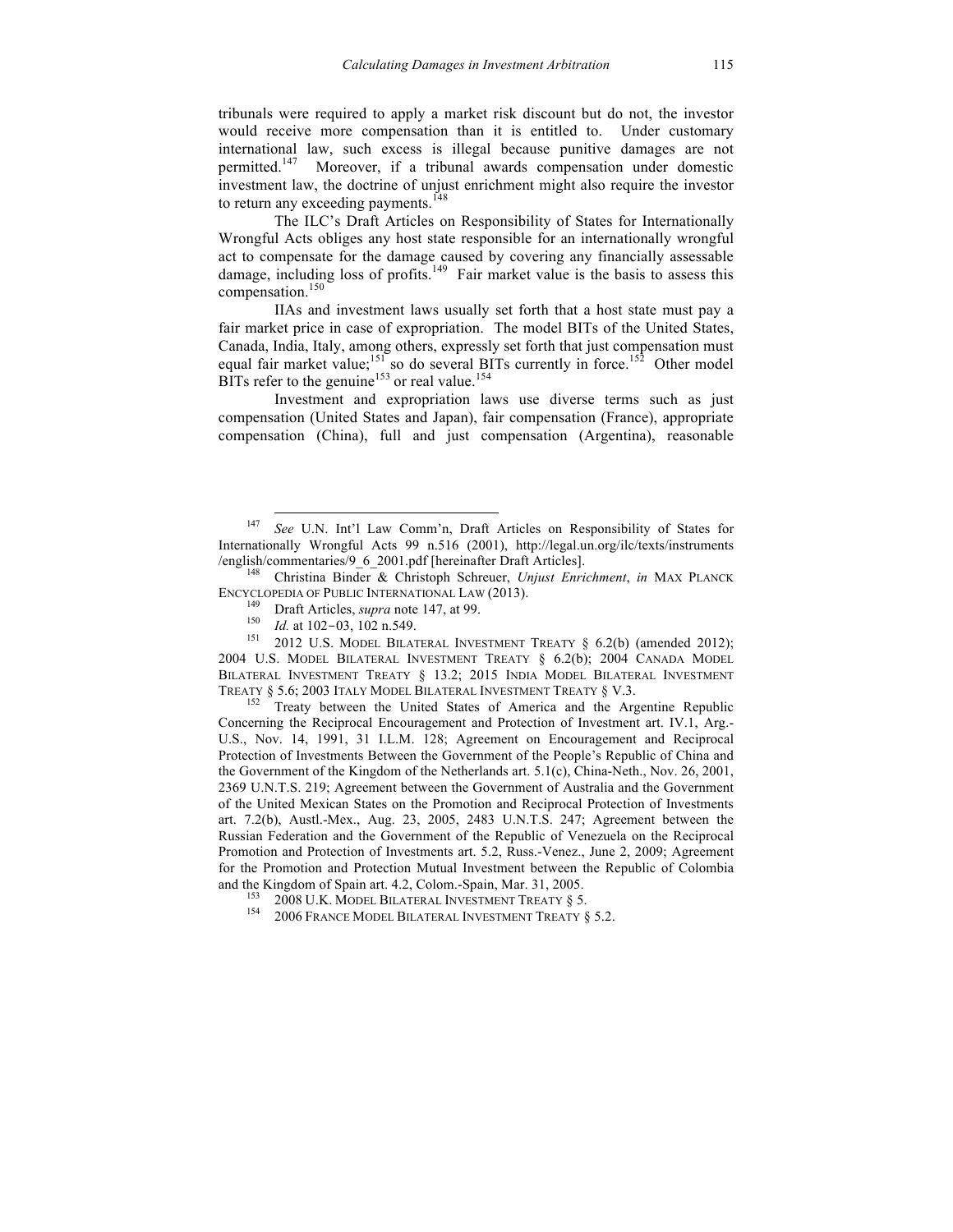tribunals were required to apply a market risk discount but do not, the investor would receive more compensation than it is entitled to. Under customary international law, such excess is illegal because punitive damages are not permitted.<sup>147</sup> Moreover, if a tribunal awards compensation under domestic investment law, the doctrine of unjust enrichment might also require the investor to return any exceeding payments.<sup>148</sup>

The ILC's Draft Articles on Responsibility of States for Internationally Wrongful Acts obliges any host state responsible for an internationally wrongful act to compensate for the damage caused by covering any financially assessable damage, including loss of profits.<sup>149</sup> Fair market value is the basis to assess this compensation.<sup>150</sup>

IIAs and investment laws usually set forth that a host state must pay a fair market price in case of expropriation. The model BITs of the United States, Canada, India, Italy, among others, expressly set forth that just compensation must equal fair market value;<sup>151</sup> so do several BITs currently in force.<sup>152</sup> Other model BITs refer to the genuine<sup>153</sup> or real value.<sup>154</sup>

Investment and expropriation laws use diverse terms such as just compensation (United States and Japan), fair compensation (France), appropriate compensation (China), full and just compensation (Argentina), reasonable

2004 U.S. MODEL BILATERAL INVESTMENT TREATY § 6.2(b); 2004 CANADA MODEL BILATERAL INVESTMENT TREATY § 13.2; 2015 INDIA MODEL BILATERAL INVESTMENT TREATY § 5.6; 2003 ITALY MODEL BILATERAL INVESTMENT TREATY § V.3.<br><sup>152</sup> Treaty between the United States of America and the Argentine Republic

Concerning the Reciprocal Encouragement and Protection of Investment art. IV.1, Arg.- U.S., Nov. 14, 1991, 31 I.L.M. 128; Agreement on Encouragement and Reciprocal Protection of Investments Between the Government of the People's Republic of China and the Government of the Kingdom of the Netherlands art. 5.1(c), China-Neth., Nov. 26, 2001, 2369 U.N.T.S. 219; Agreement between the Government of Australia and the Government of the United Mexican States on the Promotion and Reciprocal Protection of Investments art. 7.2(b), Austl.-Mex., Aug. 23, 2005, 2483 U.N.T.S. 247; Agreement between the Russian Federation and the Government of the Republic of Venezuela on the Reciprocal Promotion and Protection of Investments art. 5.2, Russ.-Venez., June 2, 2009; Agreement for the Promotion and Protection Mutual Investment between the Republic of Colombia and the Kingdom of Spain art. 4.2, Colom.-Spain, Mar. 31, 2005.<br><sup>153</sup> 2008 U.K. MODEL BILATERAL INVESTMENT TREATY § 5.2.<br><sup>154</sup> 2006 FRANCE MODEL BILATERAL INVESTMENT TREATY § 5.2.

 <sup>147</sup> *See* U.N. Int'l Law Comm'n, Draft Articles on Responsibility of States for Internationally Wrongful Acts 99 n.516 (2001), http://legal.un.org/ilc/texts/instruments /english/commentaries/9\_6\_2001.pdf [hereinafter Draft Articles]. <sup>148</sup> Christina Binder & Christoph Schreuer, *Unjust Enrichment*, *in* MAX PLANCK

ENCYCLOPEDIA OF PUBLIC INTERNATIONAL LAW (2013).<br><sup>149</sup> Draft Articles, *supra* note 147, at 99.<br><sup>150</sup> *Id.* at 102-03, 102 n.549.<br><sup>151</sup> 2012 U.S. MODEL BILATERAL INVESTMENT TREATY § 6.2(b) (amended 2012);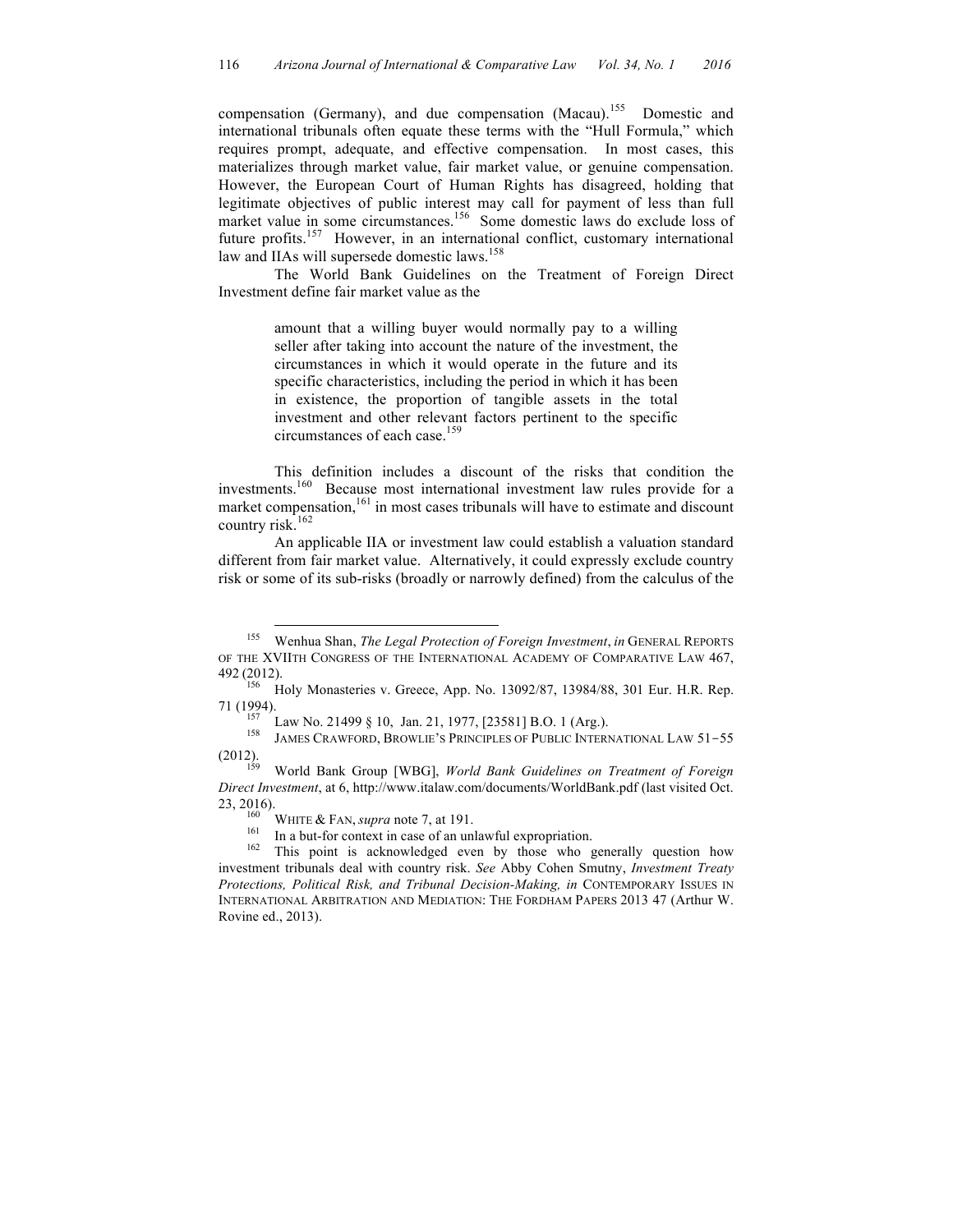compensation (Germany), and due compensation (Macau).<sup>155</sup> Domestic and international tribunals often equate these terms with the "Hull Formula," which requires prompt, adequate, and effective compensation. In most cases, this materializes through market value, fair market value, or genuine compensation. However, the European Court of Human Rights has disagreed, holding that legitimate objectives of public interest may call for payment of less than full market value in some circumstances. 156 Some domestic laws do exclude loss of future profits.<sup>157</sup> However, in an international conflict, customary international law and IIAs will supersede domestic laws. 158

The World Bank Guidelines on the Treatment of Foreign Direct Investment define fair market value as the

> amount that a willing buyer would normally pay to a willing seller after taking into account the nature of the investment, the circumstances in which it would operate in the future and its specific characteristics, including the period in which it has been in existence, the proportion of tangible assets in the total investment and other relevant factors pertinent to the specific circumstances of each case. 159

This definition includes a discount of the risks that condition the investments. 160 Because most international investment law rules provide for a market compensation, $161$  in most cases tribunals will have to estimate and discount country risk.<sup>162</sup>

An applicable IIA or investment law could establish a valuation standard different from fair market value. Alternatively, it could expressly exclude country risk or some of its sub-risks (broadly or narrowly defined) from the calculus of the

 <sup>155</sup> Wenhua Shan, *The Legal Protection of Foreign Investment*, *in* GENERAL REPORTS OF THE XVIITH CONGRESS OF THE INTERNATIONAL ACADEMY OF COMPARATIVE LAW 467,

<sup>492</sup> (2012). <sup>156</sup> Holy Monasteries v. Greece, App. No. 13092/87, 13984/88, 301 Eur. H.R. Rep.

<sup>71 (1994).&</sup>lt;br>
<sup>157</sup> Law No. 21499 § 10, Jan. 21, 1977, [23581] B.O. 1 (Arg.).<br>
<sup>158</sup> JAMES CRAWFORD, BROWLIE'S PRINCIPLES OF PUBLIC INTERNATIONAL LAW 51-55<br>
(2012).<br>
11 Devel Cuidalines on Treatment of Foreign

<sup>(2012).</sup> <sup>159</sup> World Bank Group [WBG], *World Bank Guidelines on Treatment of Foreign Direct Investment*, at 6, http://www.italaw.com/documents/WorldBank.pdf (last visited Oct.

<sup>23, 2016).&</sup>lt;br><sup>160</sup> WHITE & FAN, *supra* note 7, at 191.<br><sup>161</sup> In a but-for context in case of an unlawful expropriation.<br><sup>162</sup> This point is acknowledged even by those who generally question how investment tribunals deal with country risk. *See* Abby Cohen Smutny, *Investment Treaty Protections, Political Risk, and Tribunal Decision-Making, in CONTEMPORARY ISSUES IN* INTERNATIONAL ARBITRATION AND MEDIATION: THE FORDHAM PAPERS 2013 47 (Arthur W. Rovine ed., 2013).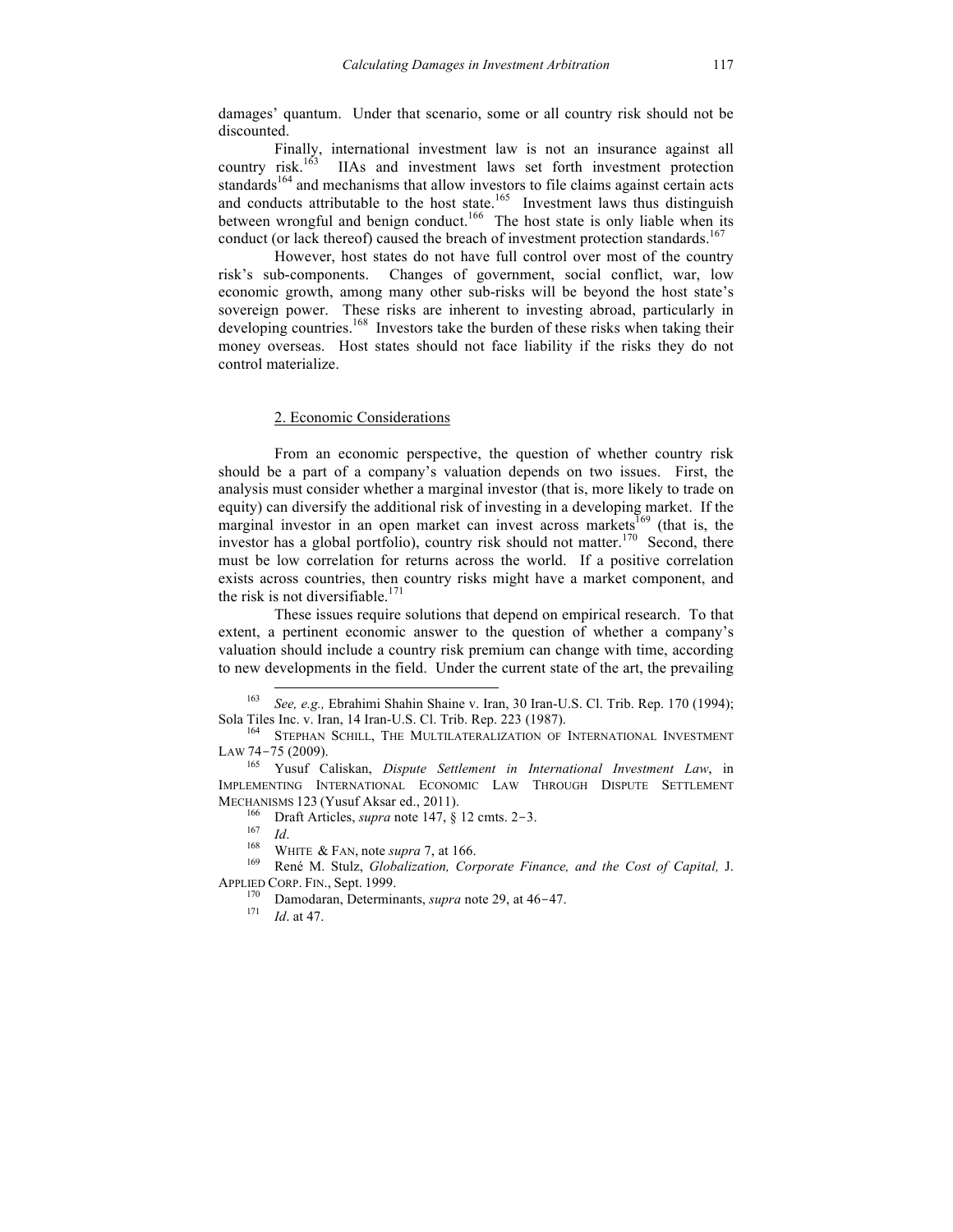damages' quantum. Under that scenario, some or all country risk should not be discounted.

Finally, international investment law is not an insurance against all country risk.<sup>163</sup> 163 IIAs and investment laws set forth investment protection standards<sup>164</sup> and mechanisms that allow investors to file claims against certain acts and conducts attributable to the host state.<sup>165</sup> Investment laws thus distinguish between wrongful and benign conduct.<sup>166</sup> The host state is only liable when its conduct (or lack thereof) caused the breach of investment protection standards.<sup>167</sup>

However, host states do not have full control over most of the country risk's sub-components. Changes of government, social conflict, war, low economic growth, among many other sub-risks will be beyond the host state's sovereign power. These risks are inherent to investing abroad, particularly in developing countries. 168 Investors take the burden of these risks when taking their money overseas. Host states should not face liability if the risks they do not control materialize.

## 2. Economic Considerations

From an economic perspective, the question of whether country risk should be a part of a company's valuation depends on two issues. First, the analysis must consider whether a marginal investor (that is, more likely to trade on equity) can diversify the additional risk of investing in a developing market. If the marginal investor in an open market can invest across markets<sup>169</sup> (that is, the investor has a global portfolio), country risk should not matter. 170 Second, there must be low correlation for returns across the world. If a positive correlation exists across countries, then country risks might have a market component, and the risk is not diversifiable.<sup>171</sup>

These issues require solutions that depend on empirical research. To that extent, a pertinent economic answer to the question of whether a company's valuation should include a country risk premium can change with time, according to new developments in the field. Under the current state of the art, the prevailing

 <sup>163</sup> *See, e.g.,* Ebrahimi Shahin Shaine v. Iran, 30 Iran-U.S. Cl. Trib. Rep. 170 (1994); Sola Tiles Inc. v. Iran, 14 Iran-U.S. Cl. Trib. Rep. 223 (1987). 164 STEPHAN SCHILL, THE MULTILATERALIZATION OF INTERNATIONAL INVESTMENT

LAW 74-<sup>75</sup> (2009). <sup>165</sup> Yusuf Caliskan, *Dispute Settlement in International Investment Law*, in

IMPLEMENTING INTERNATIONAL ECONOMIC LAW THROUGH DISPUTE SETTLEMENT MECHANISMS 123 (Yusuf Aksar ed., 2011).<br>
<sup>166</sup> Draft Articles, *supra* note 147, § 12 cmts. 2–3.<br>
<sup>167</sup> *Id.*<br>
<sup>168</sup> WHITE & FAN, note *supra* 7, at 166.<br>
<sup>169</sup> René M. Stulz, *Globalization, Corporate Finance, and the Co* 

APPLIED CORP. FIN., Sept. 1999.<br><sup>170</sup> Damodaran, Determinants, *supra* note 29, at 46-47.<br><sup>171</sup> *Id.* at 47.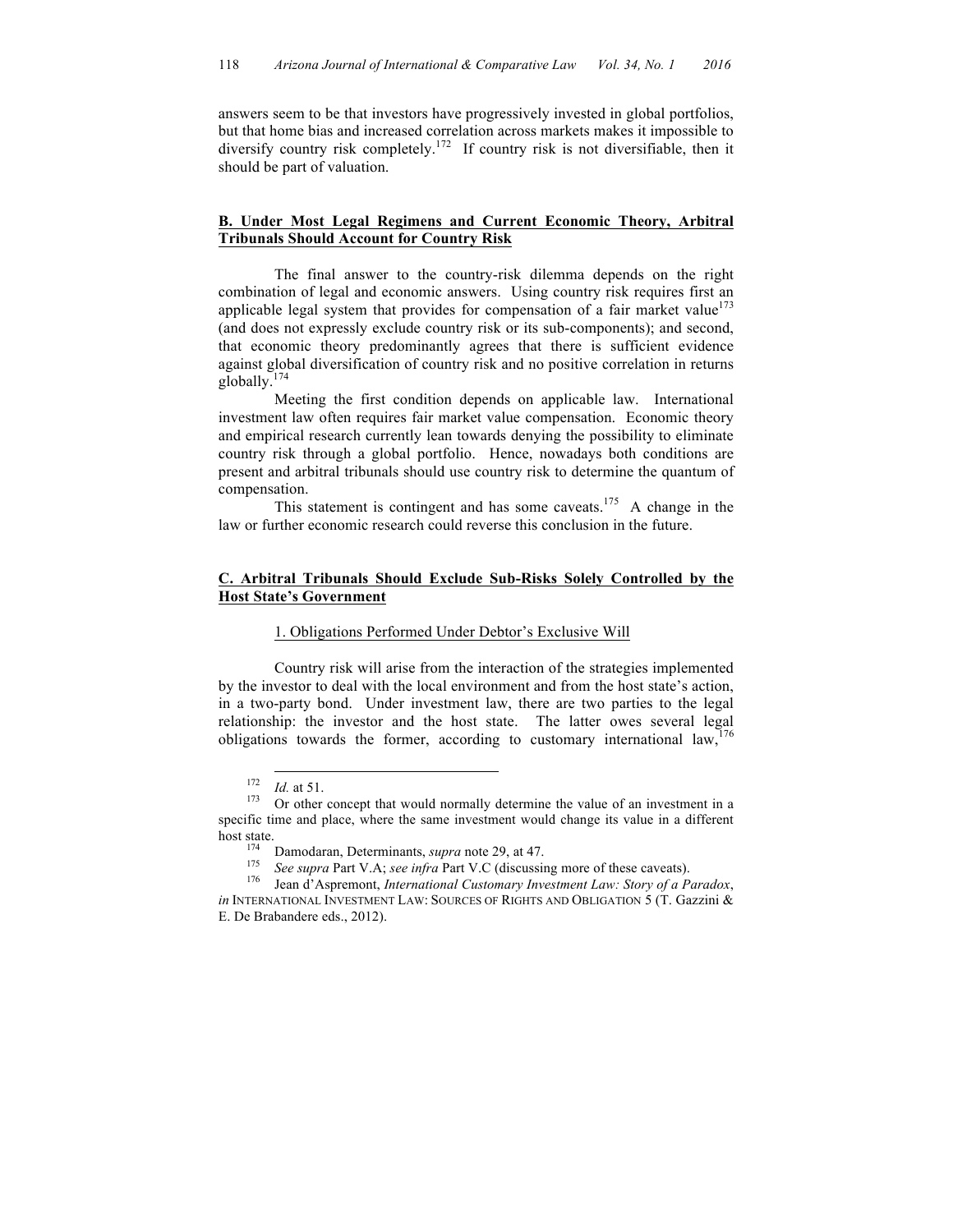answers seem to be that investors have progressively invested in global portfolios, but that home bias and increased correlation across markets makes it impossible to diversify country risk completely. 172 If country risk is not diversifiable, then it should be part of valuation.

## **B. Under Most Legal Regimens and Current Economic Theory, Arbitral Tribunals Should Account for Country Risk**

The final answer to the country-risk dilemma depends on the right combination of legal and economic answers. Using country risk requires first an applicable legal system that provides for compensation of a fair market value<sup>173</sup> (and does not expressly exclude country risk or its sub-components); and second, that economic theory predominantly agrees that there is sufficient evidence against global diversification of country risk and no positive correlation in returns globally. $\frac{1}{2}$ 

Meeting the first condition depends on applicable law. International investment law often requires fair market value compensation. Economic theory and empirical research currently lean towards denying the possibility to eliminate country risk through a global portfolio. Hence, nowadays both conditions are present and arbitral tribunals should use country risk to determine the quantum of compensation.

This statement is contingent and has some caveats.<sup>175</sup> A change in the law or further economic research could reverse this conclusion in the future.

## **C. Arbitral Tribunals Should Exclude Sub-Risks Solely Controlled by the Host State's Government**

## 1. Obligations Performed Under Debtor's Exclusive Will

Country risk will arise from the interaction of the strategies implemented by the investor to deal with the local environment and from the host state's action, in a two-party bond. Under investment law, there are two parties to the legal relationship: the investor and the host state. The latter owes several legal obligations towards the former, according to customary international law,

<sup>&</sup>lt;sup>172</sup> *Id.* at 51. <sup>173</sup> Or other concept that would normally determine the value of an investment in a specific time and place, where the same investment would change its value in a different host state.<br><sup>174</sup> Damodaran, Determinants, *supra* note 29, at 47.<br><sup>175</sup> See supra Part V.A; see infra Part V.C (discussing more of these caveats).<br><sup>176</sup> Jean d'Aspremont, *International Customary Investment Law: Story of* 

*in* INTERNATIONAL INVESTMENT LAW: SOURCES OF RIGHTS AND OBLIGATION 5 (T. Gazzini & E. De Brabandere eds., 2012).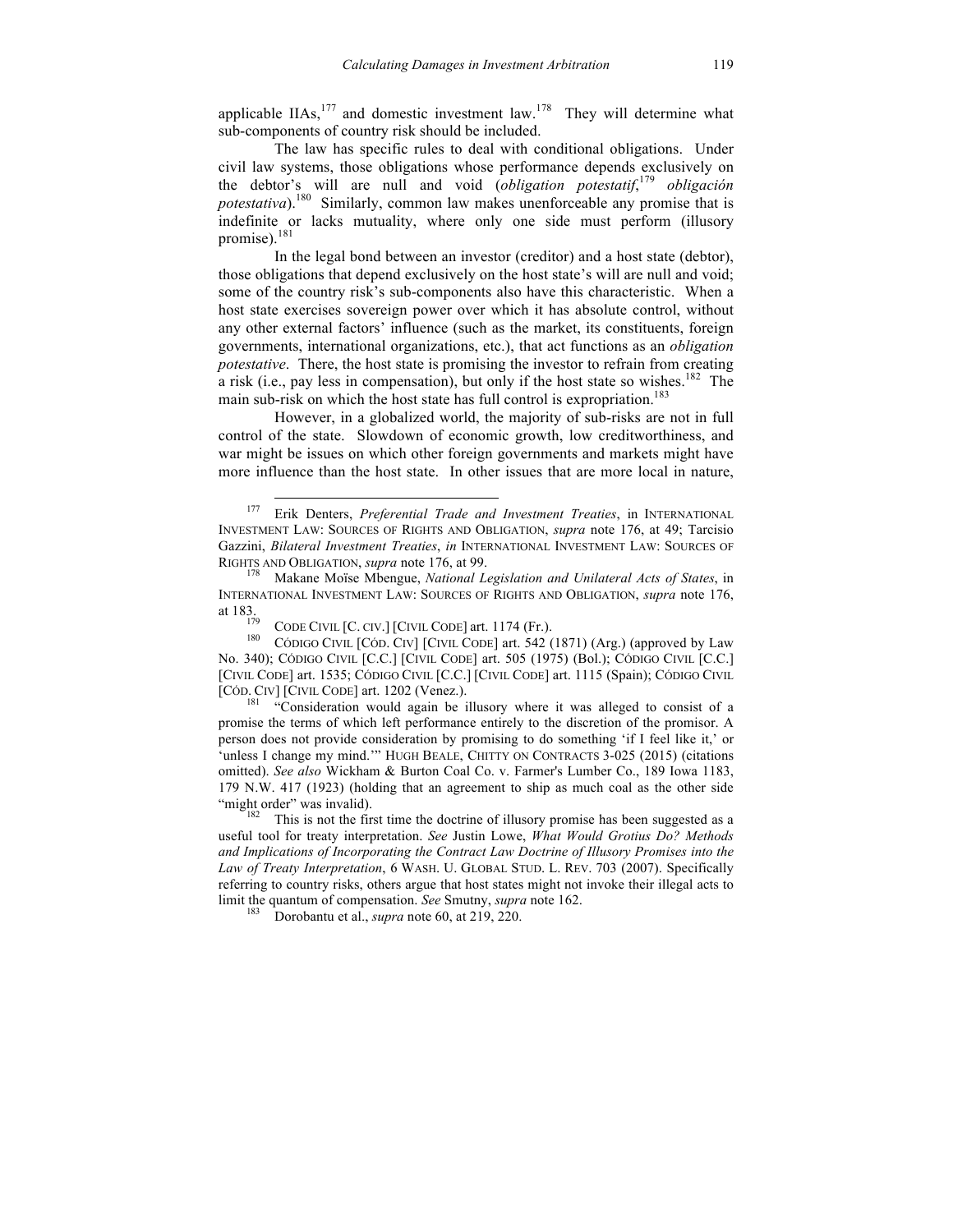applicable IIAs,  $177$  and domestic investment law.  $178$  They will determine what sub-components of country risk should be included.

The law has specific rules to deal with conditional obligations. Under civil law systems, those obligations whose performance depends exclusively on the debtor's will are null and void (*obligation potestatif*, <sup>179</sup> *obligación potestativa*). 180 Similarly, common law makes unenforceable any promise that is indefinite or lacks mutuality, where only one side must perform (illusory promise).<sup>181</sup>

In the legal bond between an investor (creditor) and a host state (debtor), those obligations that depend exclusively on the host state's will are null and void; some of the country risk's sub-components also have this characteristic. When a host state exercises sovereign power over which it has absolute control, without any other external factors' influence (such as the market, its constituents, foreign governments, international organizations, etc.), that act functions as an *obligation potestative*. There, the host state is promising the investor to refrain from creating a risk (i.e., pay less in compensation), but only if the host state so wishes.<sup>182</sup> The main sub-risk on which the host state has full control is expropriation.<sup>183</sup>

However, in a globalized world, the majority of sub-risks are not in full control of the state. Slowdown of economic growth, low creditworthiness, and war might be issues on which other foreign governments and markets might have more influence than the host state. In other issues that are more local in nature,

promise the terms of which left performance entirely to the discretion of the promisor. A person does not provide consideration by promising to do something 'if I feel like it,' or 'unless I change my mind.'" HUGH BEALE, CHITTY ON CONTRACTS 3-025 (2015) (citations omitted). *See also* Wickham & Burton Coal Co. v. Farmer's Lumber Co., 189 Iowa 1183, 179 N.W. 417 (1923) (holding that an agreement to ship as much coal as the other side "might order" was invalid). 182 This is not the first time the doctrine of illusory promise has been suggested as a

 <sup>177</sup> Erik Denters, *Preferential Trade and Investment Treaties*, in INTERNATIONAL INVESTMENT LAW: SOURCES OF RIGHTS AND OBLIGATION, *supra* note 176, at 49; Tarcisio Gazzini, *Bilateral Investment Treaties*, *in* INTERNATIONAL INVESTMENT LAW: SOURCES OF RIGHTS AND OBLIGATION, *supra* note 176, at 99.<br><sup>178</sup> Makane Moïse Mbengue, *National Legislation and Unilateral Acts of States*, in

INTERNATIONAL INVESTMENT LAW: SOURCES OF RIGHTS AND OBLIGATION, *supra* note 176, at 183.<br><sup>179</sup> CODE CIVIL [C. CIV.] [CIVIL CODE] art. 1174 (Fr.).<br><sup>180</sup> CÓDIGO CIVIL [CÓD. CIV] [CIVIL CODE] art. 542 (1871) (Arg.) (approved by Law

No. 340); CÓDIGO CIVIL [C.C.] [CIVIL CODE] art. 505 (1975) (Bol.); CÓDIGO CIVIL [C.C.] [CIVIL CODE] art. 1535; CÓDIGO CIVIL [C.C.] [CIVIL CODE] art. 1115 (Spain); CÓDIGO CIVIL [CÓD. CIV] [CIVIL CODE] art. 1202 (Venez.).<br><sup>181</sup> "Consideration would again be illusory where it was alleged to consist of a

useful tool for treaty interpretation. *See* Justin Lowe, *What Would Grotius Do? Methods and Implications of Incorporating the Contract Law Doctrine of Illusory Promises into the Law of Treaty Interpretation*, 6 WASH. U. GLOBAL STUD. L. REV. 703 (2007). Specifically referring to country risks, others argue that host states might not invoke their illegal acts to limit the quantum of compensation. *See* Smutny, *supra* note 162.<br><sup>183</sup> Dorobantu et al., *supra* note 60, at 219, 220.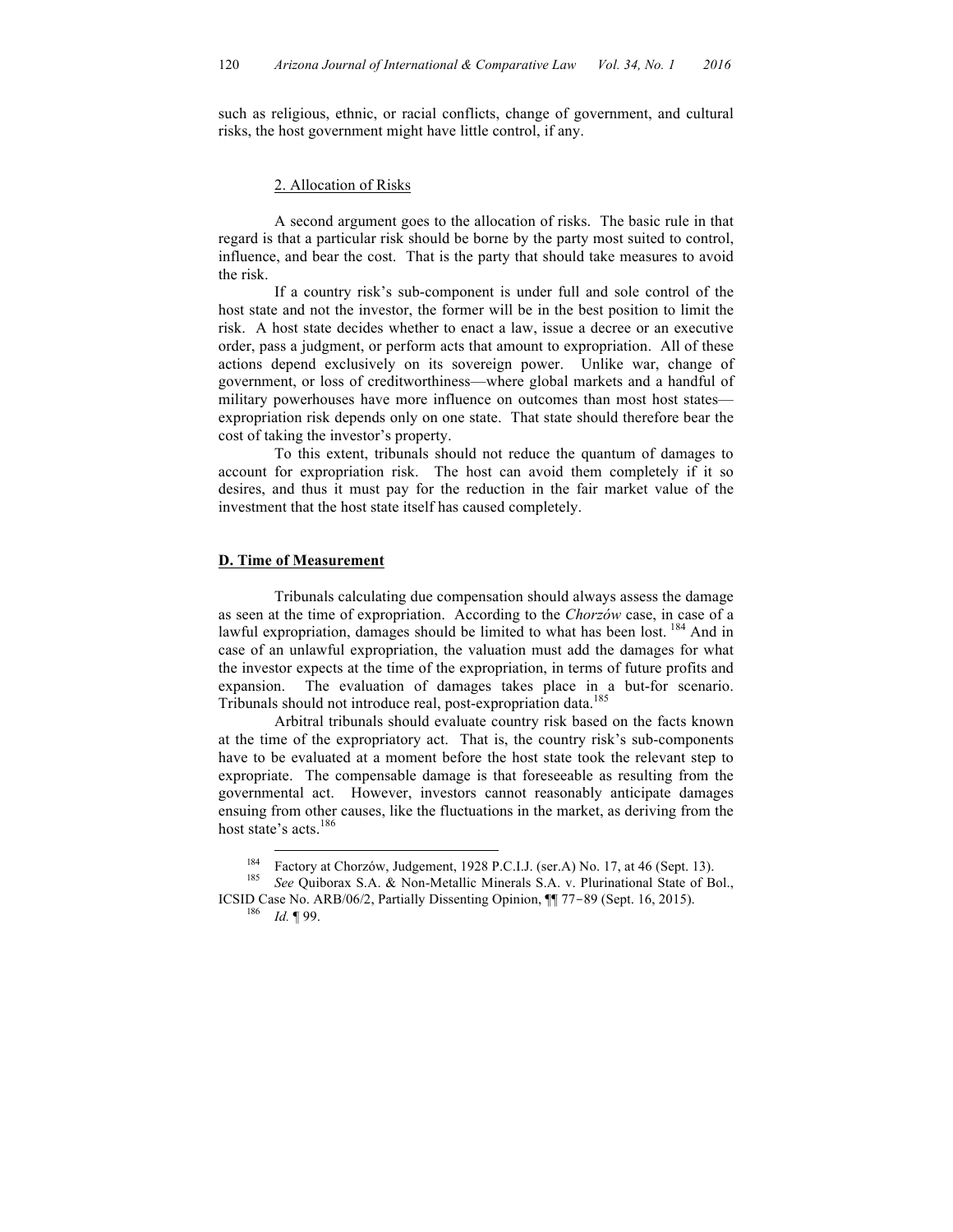such as religious, ethnic, or racial conflicts, change of government, and cultural risks, the host government might have little control, if any.

#### 2. Allocation of Risks

A second argument goes to the allocation of risks. The basic rule in that regard is that a particular risk should be borne by the party most suited to control, influence, and bear the cost. That is the party that should take measures to avoid the risk.

If a country risk's sub-component is under full and sole control of the host state and not the investor, the former will be in the best position to limit the risk. A host state decides whether to enact a law, issue a decree or an executive order, pass a judgment, or perform acts that amount to expropriation. All of these actions depend exclusively on its sovereign power. Unlike war, change of government, or loss of creditworthiness—where global markets and a handful of military powerhouses have more influence on outcomes than most host states expropriation risk depends only on one state. That state should therefore bear the cost of taking the investor's property.

To this extent, tribunals should not reduce the quantum of damages to account for expropriation risk. The host can avoid them completely if it so desires, and thus it must pay for the reduction in the fair market value of the investment that the host state itself has caused completely.

#### **D. Time of Measurement**

Tribunals calculating due compensation should always assess the damage as seen at the time of expropriation. According to the *Chorzów* case, in case of a lawful expropriation, damages should be limited to what has been lost. <sup>184</sup> And in case of an unlawful expropriation, the valuation must add the damages for what the investor expects at the time of the expropriation, in terms of future profits and expansion. The evaluation of damages takes place in a but-for scenario. Tribunals should not introduce real, post-expropriation data. 185

Arbitral tribunals should evaluate country risk based on the facts known at the time of the expropriatory act. That is, the country risk's sub-components have to be evaluated at a moment before the host state took the relevant step to expropriate. The compensable damage is that foreseeable as resulting from the governmental act. However, investors cannot reasonably anticipate damages ensuing from other causes, like the fluctuations in the market, as deriving from the host state's acts. 186

<sup>184</sup> Factory at Chorzów, Judgement, 1928 P.C.I.J. (ser.A) No. 17, at 46 (Sept. 13). <sup>185</sup> *See* Quiborax S.A. & Non-Metallic Minerals S.A. v. Plurinational State of Bol.,

ICSID Case No. ARB/06/2, Partially Dissenting Opinion, ¶¶ 77-<sup>89</sup> (Sept. 16, 2015). 186 *Id.* ¶ 99.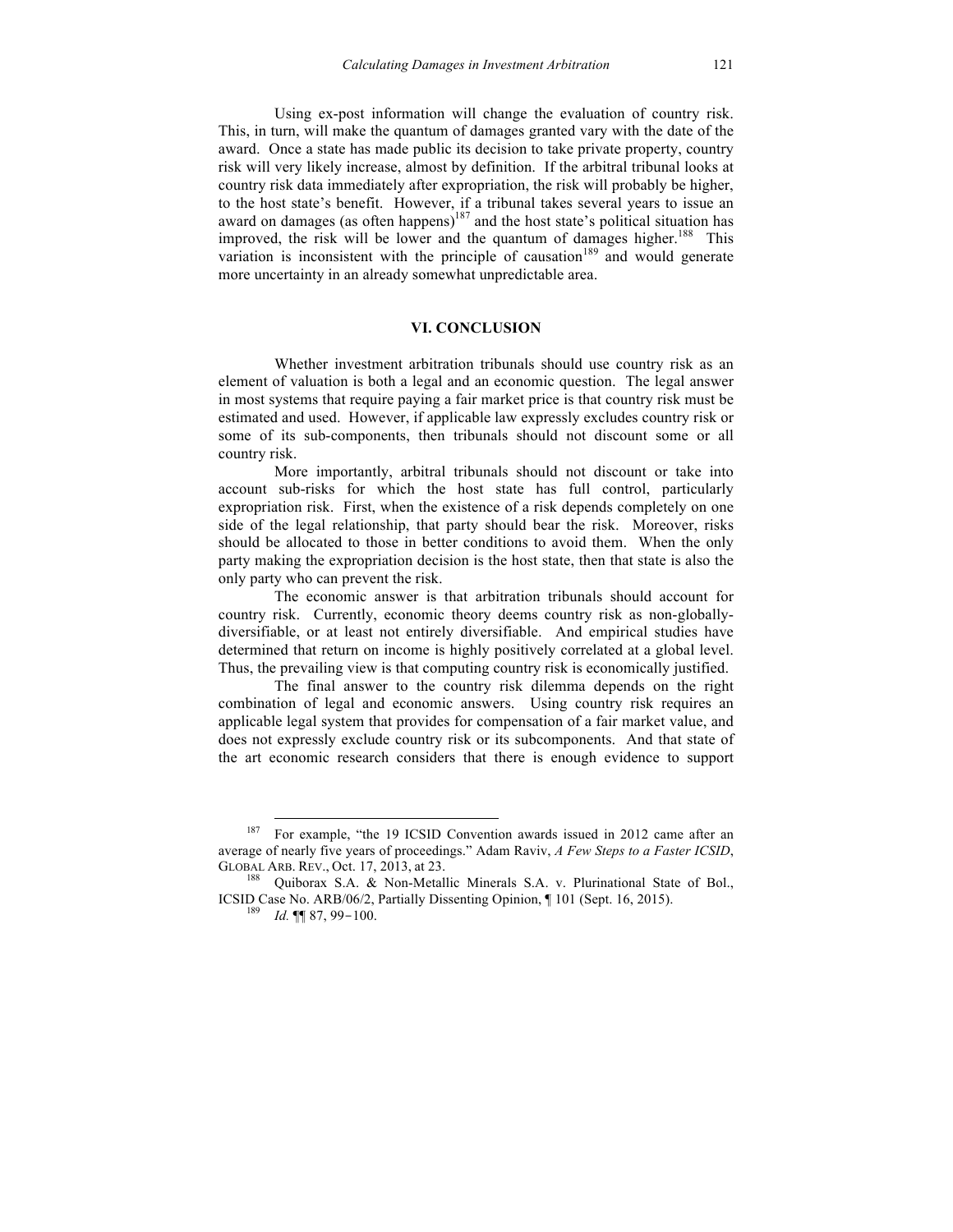Using ex-post information will change the evaluation of country risk. This, in turn, will make the quantum of damages granted vary with the date of the award. Once a state has made public its decision to take private property, country risk will very likely increase, almost by definition. If the arbitral tribunal looks at country risk data immediately after expropriation, the risk will probably be higher, to the host state's benefit. However, if a tribunal takes several years to issue an award on damages (as often happens)<sup>187</sup> and the host state's political situation has improved, the risk will be lower and the quantum of damages higher.<sup>188</sup> This variation is inconsistent with the principle of causation<sup>189</sup> and would generate more uncertainty in an already somewhat unpredictable area.

## **VI. CONCLUSION**

Whether investment arbitration tribunals should use country risk as an element of valuation is both a legal and an economic question. The legal answer in most systems that require paying a fair market price is that country risk must be estimated and used. However, if applicable law expressly excludes country risk or some of its sub-components, then tribunals should not discount some or all country risk.

More importantly, arbitral tribunals should not discount or take into account sub-risks for which the host state has full control, particularly expropriation risk. First, when the existence of a risk depends completely on one side of the legal relationship, that party should bear the risk. Moreover, risks should be allocated to those in better conditions to avoid them. When the only party making the expropriation decision is the host state, then that state is also the only party who can prevent the risk.

The economic answer is that arbitration tribunals should account for country risk. Currently, economic theory deems country risk as non-globallydiversifiable, or at least not entirely diversifiable. And empirical studies have determined that return on income is highly positively correlated at a global level. Thus, the prevailing view is that computing country risk is economically justified.

The final answer to the country risk dilemma depends on the right combination of legal and economic answers. Using country risk requires an applicable legal system that provides for compensation of a fair market value, and does not expressly exclude country risk or its subcomponents. And that state of the art economic research considers that there is enough evidence to support

<sup>&</sup>lt;sup>187</sup> For example, "the 19 ICSID Convention awards issued in 2012 came after an average of nearly five years of proceedings." Adam Raviv, *A Few Steps to a Faster ICSID*, GLOBAL ARB. REV., Oct. 17, 2013, at 23. 188 Duiborax S.A. & Non-Metallic Minerals S.A. v. Plurinational State of Bol.,

ICSID Case No. ARB/06/2, Partially Dissenting Opinion, ¶ 101 (Sept. 16, 2015). <sup>189</sup> *Id.* ¶¶ 87, 99-100.